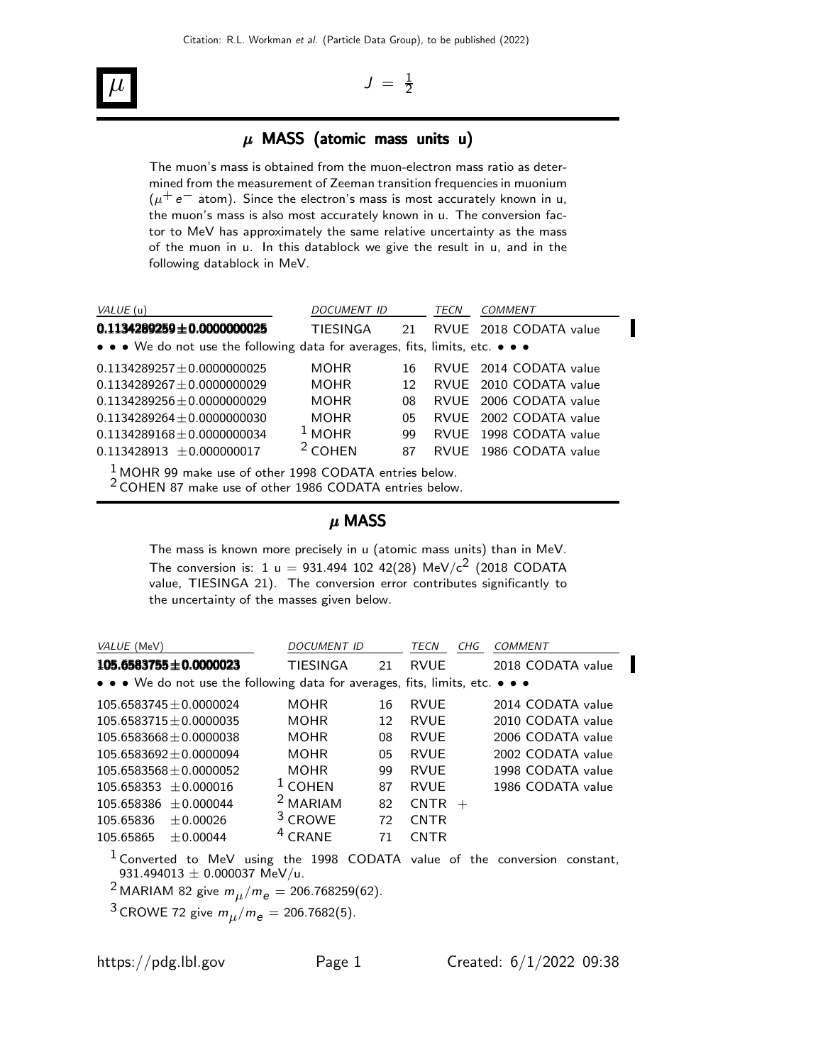#### $\overline{\mu}$   $J =$ 1 2

#### $\mu$  MASS (atomic mass units u)

The muon's mass is obtained from the muon-electron mass ratio as determined from the measurement of Zeeman transition frequencies in muonium  $(\mu^+ e^-$  atom). Since the electron's mass is most accurately known in u, the muon's mass is also most accurately known in u. The conversion factor to MeV has approximately the same relative uncertainty as the mass of the muon in u. In this datablock we give the result in u, and in the following datablock in MeV.

| VALUE (u)                                                                                                       | DOCUMENT ID |    | TECN | COMMENT                |  |  |  |  |  |  |
|-----------------------------------------------------------------------------------------------------------------|-------------|----|------|------------------------|--|--|--|--|--|--|
| $0.1134289259 \pm 0.0000000025$                                                                                 | TIESINGA    | 21 |      | RVUE 2018 CODATA value |  |  |  |  |  |  |
| • • • We do not use the following data for averages, fits, limits, etc. • • •                                   |             |    |      |                        |  |  |  |  |  |  |
| $0.1134289257 \pm 0.0000000025$                                                                                 | MOHR        | 16 |      | RVUE 2014 CODATA value |  |  |  |  |  |  |
| $0.1134289267 \pm 0.0000000029$                                                                                 | MOHR        | 12 |      | RVUE 2010 CODATA value |  |  |  |  |  |  |
| $0.1134289256 \pm 0.0000000029$                                                                                 | <b>MOHR</b> | 08 |      | RVUE 2006 CODATA value |  |  |  |  |  |  |
| $0.1134289264 + 0.0000000030$                                                                                   | MOHR.       | 05 |      | RVUE 2002 CODATA value |  |  |  |  |  |  |
| $0.1134289168 + 0.0000000034$                                                                                   | $1$ MOHR    | 99 |      | RVUE 1998 CODATA value |  |  |  |  |  |  |
| $0.113428913 \pm 0.000000017$                                                                                   | $2$ COHEN   | 87 |      | RVUE 1986 CODATA value |  |  |  |  |  |  |
| . The same control of the control of the control of the control of the control of the control of the control of |             |    |      |                        |  |  |  |  |  |  |

 $\frac{1}{6}$  MOHR 99 make use of other 1998 CODATA entries below.

2 COHEN 87 make use of other 1986 CODATA entries below.

#### µ MASS

The mass is known more precisely in u (atomic mass units) than in MeV. The conversion is: 1 u = 931.494 102 42(28) MeV/c<sup>2</sup> (2018 CODATA value, TIESINGA 21). The conversion error contributes significantly to the uncertainty of the masses given below.

| VALUE (MeV)                                                                   | <b>DOCUMENT ID</b>  |    | TECN               | CHG | COMMENT           |
|-------------------------------------------------------------------------------|---------------------|----|--------------------|-----|-------------------|
| $105.6583755 \pm 0.0000023$                                                   | <b>TIESINGA</b>     | 21 | RVUF               |     | 2018 CODATA value |
| • • • We do not use the following data for averages, fits, limits, etc. • • • |                     |    |                    |     |                   |
| $105.6583745 + 0.0000024$                                                     | <b>MOHR</b>         | 16 | RVUF               |     | 2014 CODATA value |
| $105.6583715 + 0.0000035$                                                     | <b>MOHR</b>         | 12 | RVUF               |     | 2010 CODATA value |
| $105.6583668 \pm 0.0000038$                                                   | <b>MOHR</b>         | 08 | <b>RVUF</b>        |     | 2006 CODATA value |
| $105.6583692 + 0.0000094$                                                     | <b>MOHR</b>         | 05 | RVUF               |     | 2002 CODATA value |
| $105.6583568 + 0.0000052$                                                     | <b>MOHR</b>         | 99 | <b>RVUF</b>        |     | 1998 CODATA value |
| 105.658353<br>$+0.000016$                                                     | <sup>1</sup> COHEN  | 87 | RVUF               |     | 1986 CODATA value |
| 105.658386<br>$+0.000044$                                                     | <sup>2</sup> MARIAM | 82 | <b>CNTR</b><br>$+$ |     |                   |
| $+0.00026$<br>105.65836                                                       | <sup>3</sup> CROWE  | 72 | <b>CNTR</b>        |     |                   |
| $+0.00044$<br>105.65865                                                       | $4$ CRANE           | 71 | <b>CNTR</b>        |     |                   |

 $1$  Converted to MeV using the 1998 CODATA value of the conversion constant, 931.494013  $\pm$  0.000037 MeV/u.

<sup>2</sup> MARIAM 82 give  $m_{\mu}/m_{e} = 206.768259(62)$ .

<sup>3</sup> CROWE 72 give  $m_{\mu}/m_{e} = 206.7682(5)$ .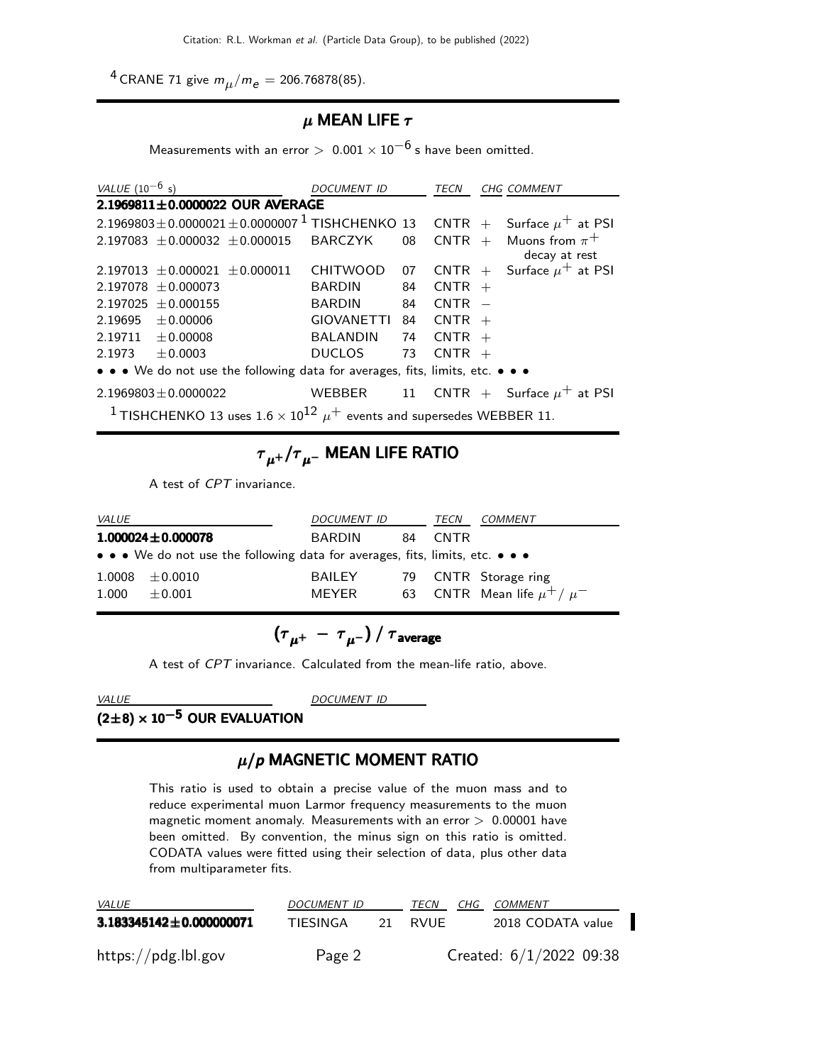<sup>4</sup> CRANE 71 give  $m_{\mu}/m_{e} = 206.76878(85)$ .

#### $\mu$  MEAN LIFE  $\tau$

Measurements with an error  $> 0.001 \times 10^{-6}$  s have been omitted.

| VALUE $(10^{-6} s)$                                                                         | <b>DOCUMENT ID</b>       |    | TECN        |  | <b>CHG COMMENT</b>                            |  |  |  |  |
|---------------------------------------------------------------------------------------------|--------------------------|----|-------------|--|-----------------------------------------------|--|--|--|--|
| 2.1969811±0.0000022 OUR AVERAGE                                                             |                          |    |             |  |                                               |  |  |  |  |
| 2.1969803±0.0000021±0.0000007 <sup>1</sup> TISHCHENKO 13 CNTR + Surface $\mu^{+}$ at PSI    |                          |    |             |  |                                               |  |  |  |  |
| 2.197083 $\pm$ 0.000032 $\pm$ 0.000015 BARCZYK                                              |                          |    |             |  | 08 CNTR + Muons from $\pi^+$<br>decay at rest |  |  |  |  |
| $2.197013 + 0.000021 + 0.000011$                                                            | <b>CHITWOOD</b>          | 07 |             |  | CNTR + Surface $\mu^+$ at PSI                 |  |  |  |  |
| $2.197078 + 0.000073$                                                                       | <b>BARDIN</b>            | 84 | $CNTR +$    |  |                                               |  |  |  |  |
| $2.197025 + 0.000155$                                                                       | BARDIN                   |    | 84 $CNTR -$ |  |                                               |  |  |  |  |
| $2.19695 \pm 0.00006$                                                                       | $GIOVANETTI$ 84 $CNTR +$ |    |             |  |                                               |  |  |  |  |
| $2.19711 \pm 0.00008$                                                                       | BALANDIN 74 CNTR $+$     |    |             |  |                                               |  |  |  |  |
| $2.1973 + 0.0003$                                                                           | <b>DUCLOS</b>            | 73 | $CNTR +$    |  |                                               |  |  |  |  |
| • • • We do not use the following data for averages, fits, limits, etc. • • •               |                          |    |             |  |                                               |  |  |  |  |
| $2.1969803 \pm 0.0000022$                                                                   |                          |    |             |  | WEBBER 11 CNTR + Surface $\mu^+$ at PSI       |  |  |  |  |
| <sup>1</sup> TISHCHENKO 13 uses $1.6 \times 10^{12} \mu^+$ events and supersedes WEBBER 11. |                          |    |             |  |                                               |  |  |  |  |

### ${{\tau}}_{\mu^+}/{{\tau}}_{\mu^-}$  MEAN LIFE RATIO

A test of CPT invariance.

| <i>VALUE</i>                                                                  |                         | <i>DOCUMENT ID</i> |     | TECN  | <b>COMMENT</b>                    |  |  |
|-------------------------------------------------------------------------------|-------------------------|--------------------|-----|-------|-----------------------------------|--|--|
|                                                                               | $1.000024 \pm 0.000078$ | BARDIN             | 84. | CNTR. |                                   |  |  |
| • • • We do not use the following data for averages, fits, limits, etc. • • • |                         |                    |     |       |                                   |  |  |
|                                                                               | $1.0008 \pm 0.0010$     | BAILEY             |     |       | 79 CNTR Storage ring              |  |  |
| 1.000                                                                         | $\pm 0.001$             | MFYFR              |     |       | 63 CNTR Mean life $\mu^+ / \mu^-$ |  |  |

$$
\left(\tau_{\mu^+}\,-\,\tau_{\mu^-}\right)/\,\tau_{\rm average}
$$

A test of CPT invariance. Calculated from the mean-life ratio, above.

 $(2\pm8) \times 10^{-5}$  OUR EVALUATION

VALUE DOCUMENT ID

#### $\mu$ / $p$  MAGNETIC MOMENT RATIO

This ratio is used to obtain a precise value of the muon mass and to reduce experimental muon Larmor frequency measurements to the muon magnetic moment anomaly. Measurements with an error  $> 0.00001$  have been omitted. By convention, the minus sign on this ratio is omitted. CODATA values were fitted using their selection of data, plus other data from multiparameter fits.

| <i>VALUE</i>                  | <b>DOCUMENT ID</b> | TECN    | CHG COMMENT               |
|-------------------------------|--------------------|---------|---------------------------|
| $3.183345142 \pm 0.000000071$ | TIESINGA           | 21 RVUE | 2018 CODATA value         |
| https://pdg.lbl.gov           | Page 2             |         | Created: $6/1/2022$ 09:38 |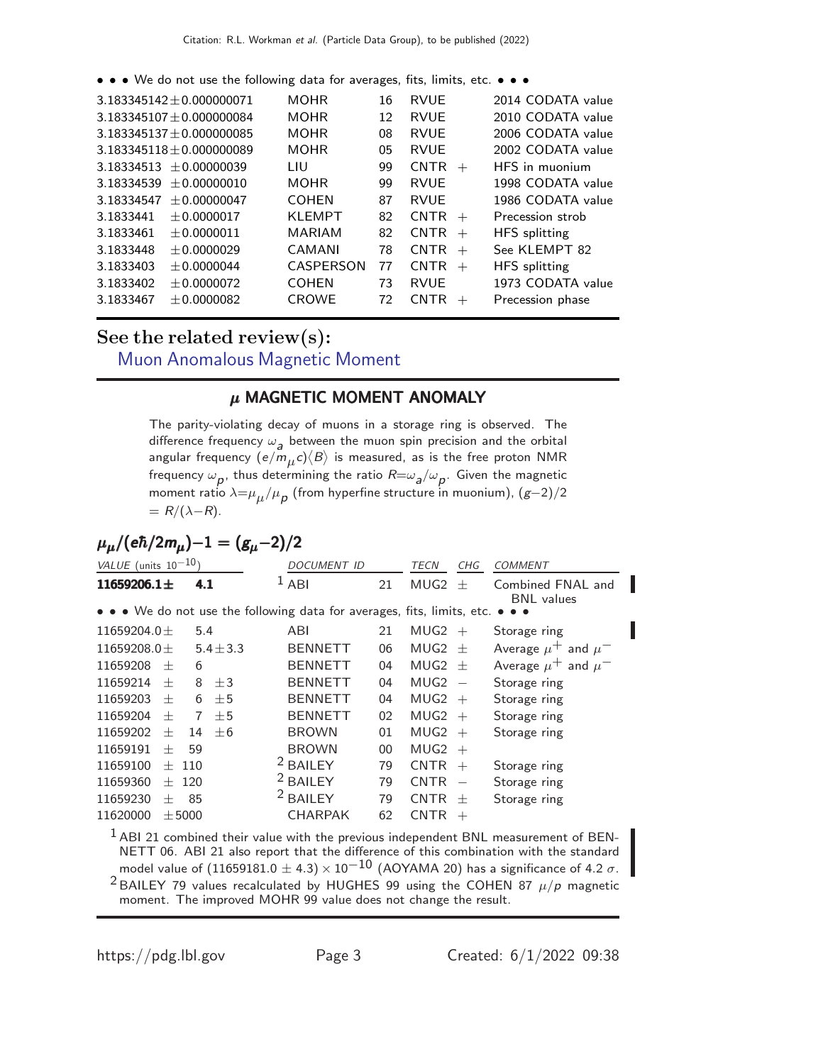• • • We do not use the following data for averages, fits, limits, etc. • • •

|            | $3.183345142 + 0.000000071$ | <b>MOHR</b>   | 16 | <b>RVUE</b>           | 2014 CODATA value    |
|------------|-----------------------------|---------------|----|-----------------------|----------------------|
|            | $3.183345107 + 0.000000084$ | <b>MOHR</b>   | 12 | <b>RVUE</b>           | 2010 CODATA value    |
|            | $3.183345137 + 0.000000085$ | <b>MOHR</b>   | 08 | <b>RVUE</b>           | 2006 CODATA value    |
|            | $3.183345118 + 0.000000089$ | <b>MOHR</b>   | 05 | <b>RVUE</b>           | 2002 CODATA value    |
|            | $3.18334513 + 0.00000039$   | LIU           | 99 | <b>CNTR</b><br>$+$    | HFS in muonium       |
| 3.18334539 | $+0.00000010$               | <b>MOHR</b>   | 99 | <b>RVUE</b>           | 1998 CODATA value    |
| 3.18334547 | $+0.00000047$               | <b>COHEN</b>  | 87 | <b>RVUE</b>           | 1986 CODATA value    |
| 3.1833441  | $+0.0000017$                | <b>KLEMPT</b> | 82 | $CNTR +$              | Precession strob     |
| 3.1833461  | $+0.0000011$                | <b>MARIAM</b> | 82 | <b>CNTR</b><br>$+$    | <b>HFS</b> splitting |
| 3.1833448  | $+0.0000029$                | CAMANI        | 78 | <b>CNTR</b><br>$+$    | See KLEMPT 82        |
| 3.1833403  | $+0.0000044$                | CASPERSON     | 77 | <b>CNTR</b><br>$+$    | <b>HFS</b> splitting |
| 3.1833402  | $+0.0000072$                | <b>COHEN</b>  | 73 | <b>RVUE</b>           | 1973 CODATA value    |
| 3.1833467  | $+0.0000082$                | <b>CROWE</b>  | 72 | <b>CNTR</b><br>$^{+}$ | Precession phase     |
|            |                             |               |    |                       |                      |

### See the related review(s): [Muon Anomalous Magnetic Moment](http://pdg.lbl.gov/2022/reviews/rpp2021-rev-g-2-muon-anom-mag-moment.pdf)

#### $\mu$  MAGNETIC MOMENT ANOMALY

The parity-violating decay of muons in a storage ring is observed. The difference frequency  $\omega_{\mathbf{a}}$  between the muon spin precision and the orbital angular frequency  $(e/m_\mu c)\langle B\rangle$  is measured, as is the free proton NMR frequency  $\omega_{\bm p}$ , thus determining the ratio  ${\sf R}{=}\omega_{\bm a}/\omega_{\bm p}.$  Given the magnetic moment ratio  $\lambda{=}\mu_{\mu}/{\mu_{\boldsymbol{p}}^{\vphantom{\dag}}}$  (from hyperfine structure in muonium),  $(g{-}2)/2$  $= R/(\lambda-R)$ .

$$
\mu_{\mu}/(e\hbar/2m_{\mu})-1=(g_{\mu}-2)/2
$$

| $VALUE$ (units $10^{-10}$ ) |        |            |               | <i>DOCUMENT ID</i>                                                      |        | <i>TECN</i>      | CHG                      | <b>COMMENT</b>                         |
|-----------------------------|--------|------------|---------------|-------------------------------------------------------------------------|--------|------------------|--------------------------|----------------------------------------|
| $11659206.1 \pm$            |        | 4.1        |               | 1<br>ABI                                                                | 21     | MUG <sub>2</sub> | $^{+}$                   | Combined FNAL and<br><b>BNL</b> values |
|                             |        |            |               | • • • We do not use the following data for averages, fits, limits, etc. |        |                  |                          |                                        |
| 11659204.0 $\pm$            |        | 5.4        |               | ABI                                                                     | 21     | MUG2             | $^{+}$                   | Storage ring                           |
| 11659208.0 $\pm$            |        |            | $5.4 \pm 3.3$ | <b>BENNETT</b>                                                          | 06     | MUG2             | $+$                      | Average $\mu^+$ and $\mu^-$            |
| 11659208                    | $^{+}$ | 6          |               | <b>BENNETT</b>                                                          | 04     | MUG2             | $+$                      | Average $\mu^+$ and $\mu^-$            |
| 11659214                    | $^{+}$ | 8          | $+3$          | <b>BENNETT</b>                                                          | 04     | MUG <sub>2</sub> | $\overline{\phantom{a}}$ | Storage ring                           |
| 11659203                    | $^{+}$ | 6          | ±5            | <b>BENNETT</b>                                                          | 04     | MUG <sub>2</sub> | $^{+}$                   | Storage ring                           |
| 11659204                    | 士      | 7          | $+5$          | <b>BENNETT</b>                                                          | 02     | MUG <sub>2</sub> | $^{+}$                   | Storage ring                           |
| 11659202                    | $^{+}$ | 14         | $+6$          | <b>BROWN</b>                                                            | 01     | MUG <sub>2</sub> | $^{+}$                   | Storage ring                           |
| 11659191                    | $^{+}$ | 59         |               | <b>BROWN</b>                                                            | $00\,$ | MUG <sub>2</sub> | $^{+}$                   |                                        |
| 11659100                    | $^{+}$ | 110        |               | <b>BAILEY</b>                                                           | 79     | <b>CNTR</b>      | $^{+}$                   | Storage ring                           |
| 11659360                    | $^{+}$ | 120        |               | <sup>2</sup> BAILEY                                                     | 79     | <b>CNTR</b>      | $\overline{\phantom{a}}$ | Storage ring                           |
| 11659230                    | $\pm$  | 85         |               | <sup>2</sup> BAILEY                                                     | 79     | <b>CNTR</b>      | $^{+}$                   | Storage ring                           |
| 11620000                    |        | $\pm 5000$ |               | <b>CHARPAK</b>                                                          | 62     | <b>CNTR</b>      | $^{+}$                   |                                        |
|                             |        |            |               |                                                                         |        |                  |                          |                                        |

 $<sup>1</sup>$  ABI 21 combined their value with the previous independent BNL measurement of BEN-</sup> NETT 06. ABI 21 also report that the difference of this combination with the standard model value of  $(11659181.0 \pm 4.3) \times 10^{-10}$  (AOYAMA 20) has a significance of 4.2  $\sigma$ . <sup>2</sup> BAILEY 79 values recalculated by HUGHES 99 using the COHEN 87  $\mu/p$  magnetic moment. The improved MOHR 99 value does not change the result.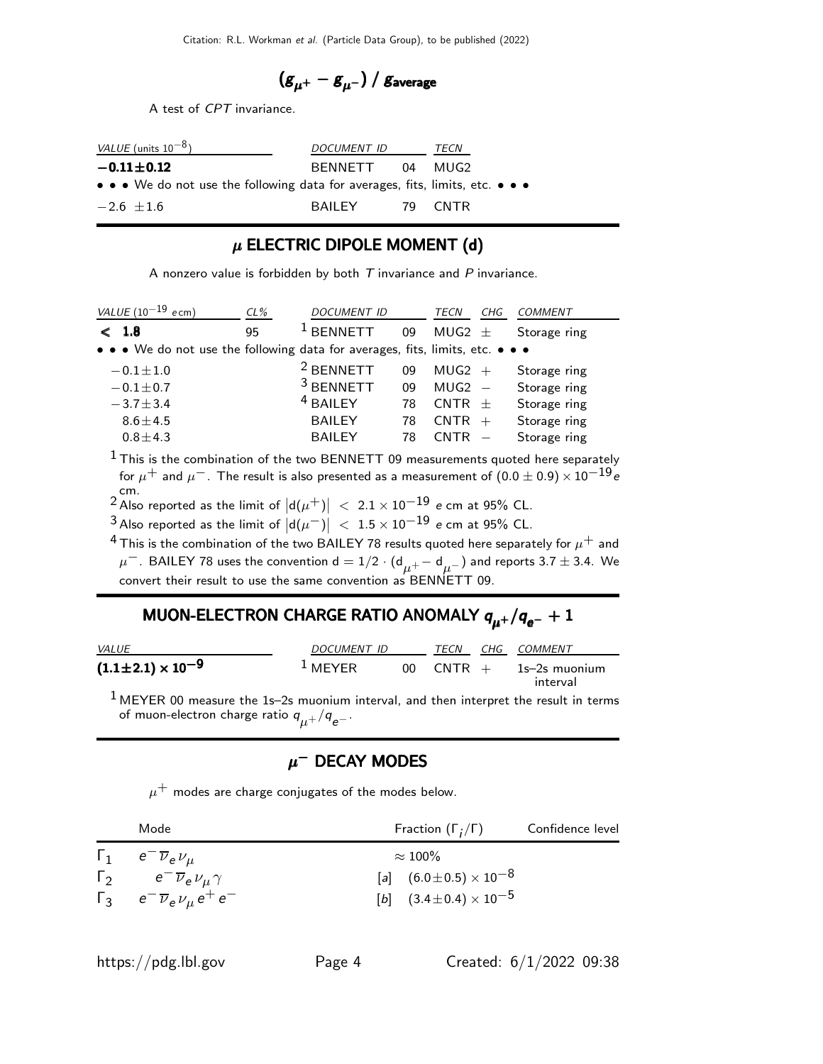$$
\left(g_{\mu^+}-g_{\mu^-}\right)/\,g_{\rm average}
$$

A test of CPT invariance.

| <i>VALUE</i> (units $10^{-8}$ )                                               | DOCUMENT ID     | TECN    |
|-------------------------------------------------------------------------------|-----------------|---------|
| $-0.11 \pm 0.12$                                                              | BENNETT 04 MUG2 |         |
| • • • We do not use the following data for averages, fits, limits, etc. • • • |                 |         |
| $-2.6$ +1.6                                                                   | BAIL FY         | 79 CNTR |

#### $\mu$  ELECTRIC DIPOLE MOMENT (d)

A nonzero value is forbidden by both  $T$  invariance and  $P$  invariance.

| VALUE $(10^{-19}$ ecm)                                                        | CL% | <b>DOCUMENT ID</b>   |    | TECN<br>CHG | <b>COMMENT</b> |
|-------------------------------------------------------------------------------|-----|----------------------|----|-------------|----------------|
| $<$ 1.8                                                                       | 95  | <b>RENNETT</b>       | 09 | MUG2 $\pm$  | Storage ring   |
| • • • We do not use the following data for averages, fits, limits, etc. • • • |     |                      |    |             |                |
| $-0.1 \pm 1.0$                                                                |     | <sup>2</sup> BENNETT | 09 | $MUG2 +$    | Storage ring   |
| $-0.1 \pm 0.7$                                                                |     | <sup>3</sup> BENNETT | 09 | $MUG2 -$    | Storage ring   |
| $-3.7 \pm 3.4$                                                                |     | <sup>4</sup> BAILEY  | 78 | $CNTR +$    | Storage ring   |
| $8.6 \pm 4.5$                                                                 |     | <b>BAILEY</b>        | 78 | $CNTR +$    | Storage ring   |
| $0.8 \pm 4.3$                                                                 |     | <b>BAILEY</b>        | 78 | $CNTR -$    | Storage ring   |
|                                                                               |     |                      |    |             |                |

 $1$  This is the combination of the two BENNETT 09 measurements quoted here separately for  $\mu^+$  and  $\mu^-$ . The result is also presented as a measurement of  $(0.0 \pm 0.9) \times 10^{-19}$ e cm.<br><sup>2</sup> Also reported as the limit of  $|d(\mu^+)|$  < 2.1 × 10 $^{-19}$  *e* cm at 95% CL.

 $\frac{3}{4}$ Also reported as the limit of  $\big|\mathsf{d}(\mu^-)\big| \ < \ 1.5\times10^{-19}$  e cm at 95% CL.

<sup>4</sup> This is the combination of the two BAILEY 78 results quoted here separately for  $\mu^+$  and  $\mu^-$  . BAILEY 78 uses the convention  ${\sf d}=1/2\cdot({\sf d}_{\mu^+}-{\sf d}_{\mu^-})$  and reports 3.7  $\pm$  3.4. We convert their result to use the same convention as BENNETT 09.

# MUON-ELECTRON CHARGE RATIO ANOMALY  $q_{\mu^+}/q_{\rm e^-}+1$

| <i>VALUE</i>                   | DOCUMENT ID        |        | TECN     |  | CHG COMMENT               |
|--------------------------------|--------------------|--------|----------|--|---------------------------|
| $(1.1 \pm 2.1) \times 10^{-9}$ | <sup>1</sup> MEYER | $00 -$ | $CNTR +$ |  | 1s–2s muonium<br>interval |

 $1$  MEYER 00 measure the 1s-2s muonium interval, and then interpret the result in terms of muon-electron charge ratio  $q_{\mu^+}/q_{\rm e^-}.$ 

### $\mu^-$  Decay modes

 $\mu^+$  modes are charge conjugates of the modes below.

|            | Mode                                                    | Fraction $(\Gamma_i/\Gamma)$       | Confidence level |
|------------|---------------------------------------------------------|------------------------------------|------------------|
|            | $\Gamma_1$ $e^{-}\overline{\nu}_e \nu_\mu$              | $\approx 100\%$                    |                  |
| $\Gamma_2$ | $e^{-}\overline{\nu}_{e}\nu_{\mu}\gamma$                | [a] $(6.0 \pm 0.5) \times 10^{-8}$ |                  |
|            | $\Gamma_3$ $e^{-} \overline{\nu}_e \nu_\mu e^{+} e^{-}$ | [b] $(3.4 \pm 0.4) \times 10^{-5}$ |                  |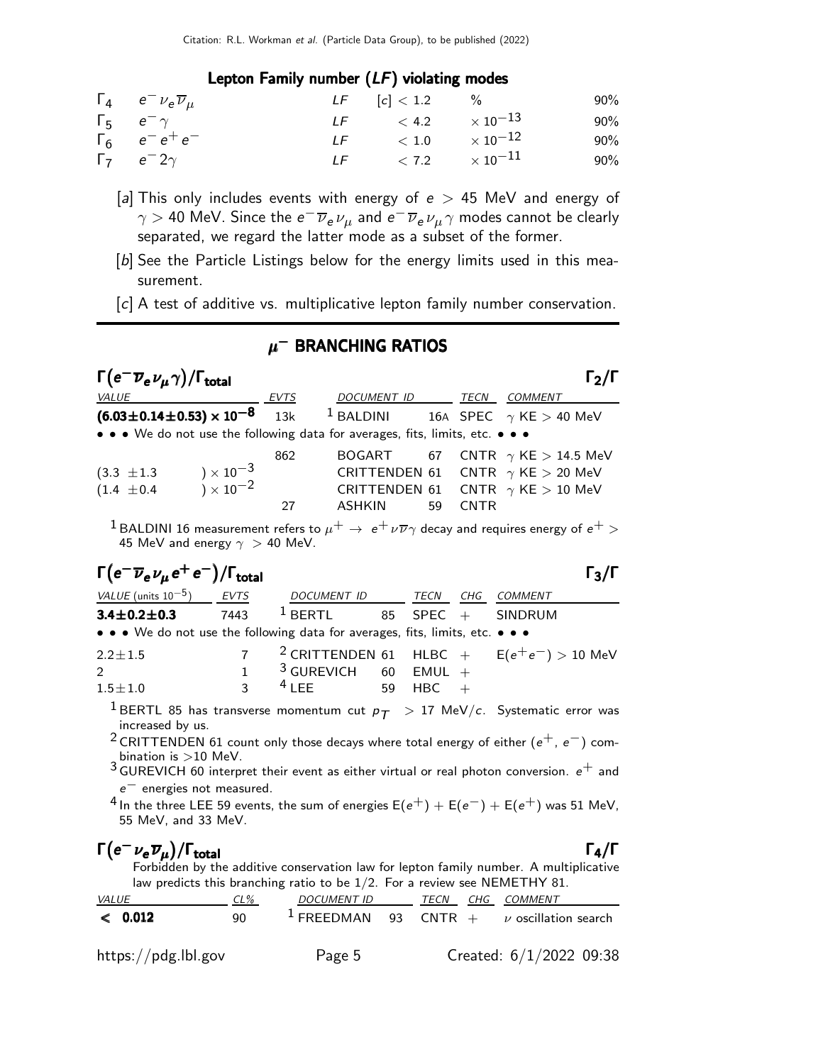#### Lepton Family number (LF) violating modes

| $\Gamma_4$ $e^- \nu_e \overline{\nu}_\mu$ | $LF$ [c] < 1.2 %           | 90%    |
|-------------------------------------------|----------------------------|--------|
| $\Gamma_5$ $e^-\gamma$                    | LF $< 4.2 \times 10^{-13}$ | 90%    |
| $\Gamma_6$ $e^-e^+e^-$                    | LF $< 1.0 \times 10^{-12}$ | 90%    |
| $\Gamma_7$ $e^-2\gamma$                   | LF $< 7.2 \times 10^{-11}$ | $90\%$ |

- [a] This only includes events with energy of  $e > 45$  MeV and energy of  $\gamma >$  40 MeV. Since the  $e^-\overline{\nu}_e\,\nu_\mu$  and  $e^-\overline{\nu}_e\,\nu_\mu\,\gamma$  modes cannot be clearly separated, we regard the latter mode as a subset of the former.
- [b] See the Particle Listings below for the energy limits used in this measurement.
- [c] A test of additive vs. multiplicative lepton family number conservation.

### $\mu^-$  branching ratios

| $\Gamma\left(\mathrm{e}^{-}\overline{\nu}_{\mathrm{e}}\,\nu_{\mu}\gamma\right)$ / $\Gamma_{\mathrm{total}}$ |           |                                                                                                                                                          |             | $\Gamma_2/\Gamma$ |
|-------------------------------------------------------------------------------------------------------------|-----------|----------------------------------------------------------------------------------------------------------------------------------------------------------|-------------|-------------------|
| <i>VALUE</i>                                                                                                | EVTS      | <i>DOCUMENT ID</i>                                                                                                                                       | TECN        | COMMENT           |
| $(6.03 \pm 0.14 \pm 0.53) \times 10^{-8}$ 13k                                                               |           | <sup>1</sup> BALDINI 16A SPEC $\gamma$ KE > 40 MeV                                                                                                       |             |                   |
| • • • We do not use the following data for averages, fits, limits, etc. • • •                               |           |                                                                                                                                                          |             |                   |
| $) \times 10^{-3}$<br>$) \times 10^{-2}$<br>$(3.3 \pm 1.3)$<br>$(1.4 \pm 0.4)$                              | 862<br>27 | BOGART 67 CNTR $\gamma$ KE $>$ 14.5 MeV<br>CRITTENDEN 61 CNTR $\gamma$ KE $>$ 20 MeV<br>CRITTENDEN 61 CNTR $\gamma$ KE $>$ 10 MeV<br><b>ASHKIN</b><br>59 | <b>CNTR</b> |                   |

<sup>1</sup> BALDINI 16 measurement refers to  $\mu^+ \to e^+ \nu \overline{\nu} \gamma$  decay and requires energy of  $e^+ >$ 45 MeV and energy  $\gamma > 40$  MeV.

## $\Gamma(e^-\overline{\nu}_e\nu_\mu e^+e^-)/\Gamma_{\rm total}$  Γ<sub>3</sub>/Γ

total

| VALUE (units $10^{-5}$ ) EVTS                                                 | DOCUMENT ID TECN CHG COMMENT                                                                                                       |  |                                                          |
|-------------------------------------------------------------------------------|------------------------------------------------------------------------------------------------------------------------------------|--|----------------------------------------------------------|
| $3.4 \pm 0.2 \pm 0.3$                                                         | 7443 $1$ BERTL 85 SPEC + SINDRUM                                                                                                   |  |                                                          |
| • • • We do not use the following data for averages, fits, limits, etc. • • • |                                                                                                                                    |  |                                                          |
| $2.2 \pm 1.5$                                                                 |                                                                                                                                    |  | 7 <sup>2</sup> CRITTENDEN 61 HLBC + $E(e^+e^-) > 10$ MeV |
| $\gamma$                                                                      | 1 $\frac{3}{\sqrt{1}}$ $\frac{100 \text{C}}{100}$ $\frac{100 \text{C}}{100}$ $\frac{200 \text{C}}{100}$ $\frac{200 \text{C}}{100}$ |  |                                                          |

| $1.5\!\pm\!1.0$                               | 1 $3$ GUREVICH 60 EMUL +<br>3 $4$ LEE 59 HBC + |  |                                                                                                                 |  |  |
|-----------------------------------------------|------------------------------------------------|--|-----------------------------------------------------------------------------------------------------------------|--|--|
| $\sim$ 1 and $\sim$ 1 and $\sim$ 1 and $\sim$ |                                                |  | the contract of the contract of the contract of the contract of the contract of the contract of the contract of |  |  |

<sup>1</sup> BERTL 85 has transverse momentum cut  $p_T > 17$  MeV/c. Systematic error was increased by us.

<sup>2</sup> CRITTENDEN 61 count only those decays where total energy of either ( $e^+$ ,  $e^-$ ) combination is  $>10$  MeV.

 $3$  GUREVICH 60 interpret their event as either virtual or real photon conversion.  $e^+$  and e− energies not measured.

4 In the three LEE 59 events, the sum of energies  $E(e^+) + E(e^-) + E(e^+)$  was 51 MeV, 55 MeV, and 33 MeV.

# $\Gamma(e^- \nu_e \overline{\nu}_\mu)/\Gamma_{\rm total}$

/Γ $\Gamma$ total $\Gamma_4/\Gamma$ Forbidden by the additive conservation law for lepton family number. A multiplicative law predicts this branching ratio to be 1/2. For a review see NEMETHY 81.

| <i>VALUE</i>        | $CL\%$ | DOCUMENT ID | TECN | CHG COMMENT                                              |
|---------------------|--------|-------------|------|----------------------------------------------------------|
| < 0.012             | 90     |             |      | <sup>1</sup> FREEDMAN 93 CNTR + $\nu$ oscillation search |
| https://pdg.lbl.gov |        | Page 5      |      | Created: $6/1/2022$ 09:38                                |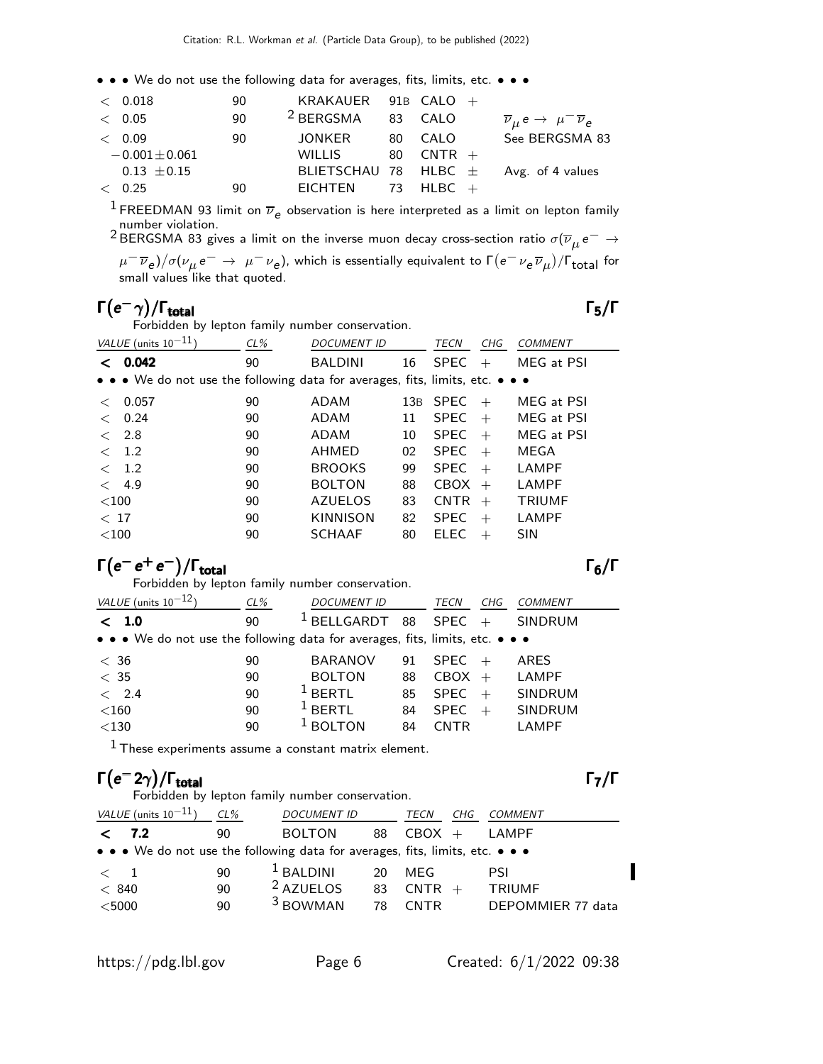• • • We do not use the following data for averages, fits, limits, etc. • • •

| $<$ 0.018          | 90 | KRAKAUER $91B$ CALO $+$ |               |                                                                 |
|--------------------|----|-------------------------|---------------|-----------------------------------------------------------------|
| $<$ 0.05           | 90 | <sup>2</sup> BERGSMA    | 83 CALO       | $\overline{\nu}_{\mu} e \rightarrow \mu^{-} \overline{\nu}_{e}$ |
| < 0.09             | 90 | JONKER                  | 80 CALO       | See BERGSMA 83                                                  |
| $-0.001 \pm 0.061$ |    | WILLIS                  | $80$ CNTR $+$ |                                                                 |
| $0.13 \pm 0.15$    |    |                         |               | BLIETSCHAU 78 HLBC $\pm$ Avg. of 4 values                       |
| < 0.25             | 90 | EICHTEN 73 HLBC $+$     |               |                                                                 |

 $^1$  FREEDMAN 93 limit on  $\overline{\nu}_e$  observation is here interpreted as a limit on lepton family

 $^2$ BERGSMA 83 gives a limit on the inverse muon decay cross-section ratio  $\sigma(\overline{\nu}_{\mu}\,e^-\rightarrow^2$  $\mu^-\overline{\nu}_e)/\sigma(\nu_\mu e^-\to~\mu^-\nu_e)$ , which is essentially equivalent to Γ $(e^-\nu_e\overline{\nu}_\mu)/\Gamma_{\rm total}$  for

small values like that quoted.

# $\Gamma(e^-\gamma)/\Gamma_{\rm total}$  Γ<sub>5</sub>/Γ

Forbidden by lepton family number conservation.

| VALUE (units $10^{-11}$ )                                                                                             | $CL\%$ | <b>DOCUMENT ID</b> |    | TECN<br>CHG        | COMMENT       |
|-----------------------------------------------------------------------------------------------------------------------|--------|--------------------|----|--------------------|---------------|
| 0.042<br>≺                                                                                                            | 90     | <b>BALDINI</b>     | 16 | <b>SPEC</b><br>$+$ | MEG at PSI    |
| $\bullet \bullet \bullet$ We do not use the following data for averages, fits, limits, etc. $\bullet \bullet \bullet$ |        |                    |    |                    |               |
| 0.057<br>$\,<\,$                                                                                                      | 90     | ADAM               |    | 13B SPEC<br>$+$    | MEG at PSI    |
| 0.24<br>$\,<\,$                                                                                                       | 90     | ADAM               | 11 | <b>SPEC</b><br>$+$ | MEG at PSI    |
| 2.8<br>$\,<\,$                                                                                                        | 90     | ADAM               | 10 | <b>SPEC</b><br>$+$ | MEG at PSI    |
| 1.2<br>$\lt$                                                                                                          | 90     | AHMED              | 02 | <b>SPEC</b><br>$+$ | MEGA          |
| 1.2<br>$\lt$                                                                                                          | 90     | <b>BROOKS</b>      | 99 | <b>SPEC</b><br>$+$ | LAMPF         |
| < 4.9                                                                                                                 | 90     | <b>BOLTON</b>      | 88 | CBOX<br>$+$        | LAMPF         |
| $<$ 100                                                                                                               | 90     | <b>AZUELOS</b>     | 83 | <b>CNTR</b><br>$+$ | <b>TRIUMF</b> |
| < 17                                                                                                                  | 90     | <b>KINNISON</b>    | 82 | <b>SPEC</b><br>$+$ | LAMPF         |
| ${<}100$                                                                                                              | 90     | <b>SCHAAF</b>      | 80 | ELEC<br>$^{+}$     | <b>SIN</b>    |

# $\Gamma(e^+e^-)/\Gamma_{\text{total}}$  Γ<sub>6</sub>/Γ

Forbidden by lepton family number conservation.

| VALUE (units $10^{-12}$ )                                                     | $CL\%$ | <b>DOCUMENT ID</b> |    | TECN        | CHG | <b>COMMENT</b> |
|-------------------------------------------------------------------------------|--------|--------------------|----|-------------|-----|----------------|
| $<$ 1.0                                                                       | 90     | $1$ BELLGARDT      | 88 | <b>SPEC</b> | $+$ | <b>SINDRUM</b> |
| • • • We do not use the following data for averages, fits, limits, etc. • • • |        |                    |    |             |     |                |
| < 36                                                                          | 90     | <b>BARANOV</b>     | 91 | SPEC        | $+$ | ARES           |
| $<$ 35                                                                        | 90     | <b>BOLTON</b>      | 88 | $CBOX +$    |     | LAMPF          |
| < 2.4                                                                         | 90     | <sup>1</sup> BFRTL | 85 | SPEC        |     | <b>SINDRUM</b> |
| $<$ 160                                                                       | 90     | <sup>1</sup> BFRTL | 84 | SPEC        | $+$ | <b>SINDRUM</b> |
| $<$ 130                                                                       | 90     | <b>BOLTON</b>      | 84 | CNTR        |     | LAMPF          |

 $<sup>1</sup>$  These experiments assume a constant matrix element.</sup>

#### $\Gamma(e^{-2\gamma})/\Gamma_{\rm total}$ /Γtotal Γ7/Γ Forbidden by lepton family number conservation.

| VALUE (units $10^{-11}$ ) | $CL\%$ | <b>DOCUMENT ID</b>                                                            |    | TECN        | CHG | COMMENT           |  |
|---------------------------|--------|-------------------------------------------------------------------------------|----|-------------|-----|-------------------|--|
| 7.2<br>$\checkmark$       | 90     | <b>BOLTON</b>                                                                 | 88 | $CBOX +$    |     | LAMPF             |  |
|                           |        | • • • We do not use the following data for averages, fits, limits, etc. • • • |    |             |     |                   |  |
| $\langle$ 1               | 90     | $1$ BALDINI                                                                   | 20 | MFG         |     | <b>PSI</b>        |  |
| < 840                     | 90     | <sup>2</sup> AZUELOS                                                          | 83 | $CNTR +$    |     | <b>TRIUMF</b>     |  |
| $<$ 5000                  | 90     | <sup>3</sup> BOWMAN                                                           | 78 | <b>CNTR</b> |     | DEPOMMIER 77 data |  |
|                           |        |                                                                               |    |             |     |                   |  |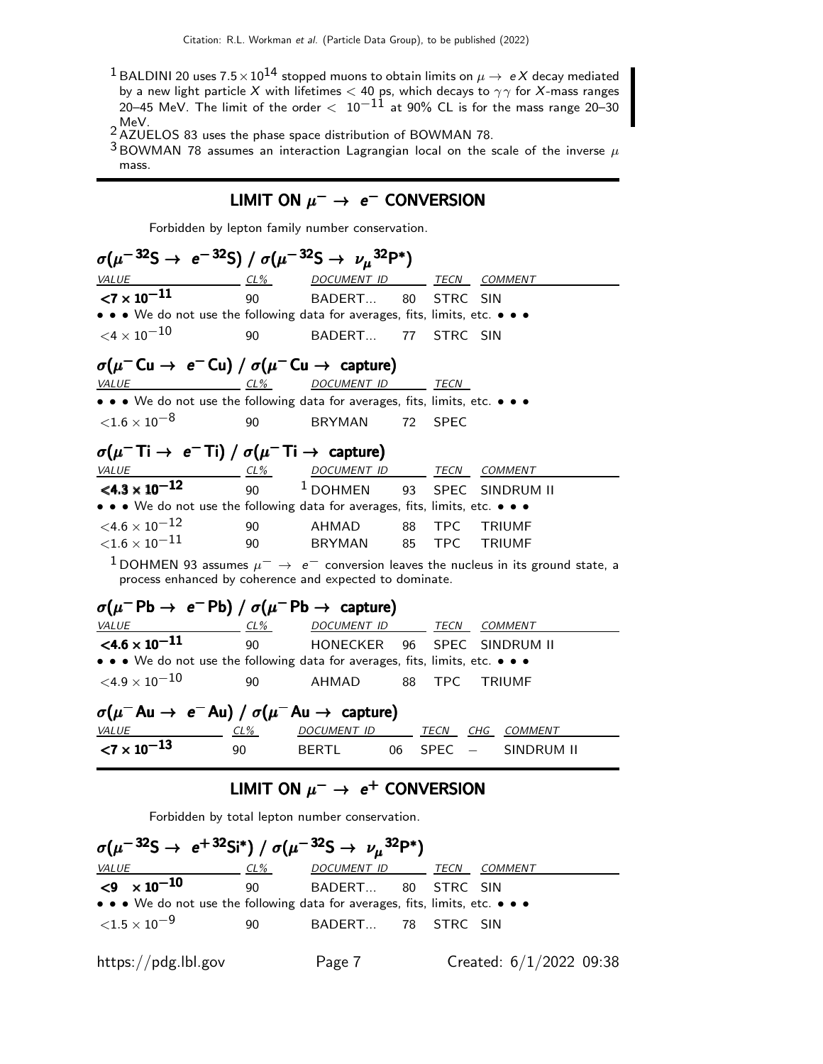- <sup>1</sup> BALDINI 20 uses  $7.5 \times 10^{14}$  stopped muons to obtain limits on  $\mu \to eX$  decay mediated by a new light particle X with lifetimes  $<$  40 ps, which decays to  $\gamma\gamma$  for X-mass ranges 20–45 MeV. The limit of the order  $< 10^{-11}$  at 90% CL is for the mass range 20–30 2 MeV.<br>  $\frac{2}{3}$  AZUELOS 83 uses the phase space distribution of BOWMAN 78.
- 
- $3 BOWMAN$  78 assumes an interaction Lagrangian local on the scale of the inverse  $\mu$ mass.

### LIMIT ON  $\mu^- \rightarrow e^-$  conversion

Forbidden by lepton family number conservation.

| $\sigma(\mu^{-32}S \to e^{-32}S) / \sigma(\mu^{-32}S \to \nu_\mu^{32}P^*)$                                       |        |                                                         |    |             |                                                                                                    |  |
|------------------------------------------------------------------------------------------------------------------|--------|---------------------------------------------------------|----|-------------|----------------------------------------------------------------------------------------------------|--|
| <b>VALUE</b>                                                                                                     | $CL\%$ | DOCUMENT ID TECN COMMENT                                |    |             |                                                                                                    |  |
| ${<}7\times10^{-11}$                                                                                             | 90     | BADERT                                                  | 80 | STRC SIN    |                                                                                                    |  |
| • • • We do not use the following data for averages, fits, limits, etc. • • •                                    |        |                                                         |    |             |                                                                                                    |  |
| ${<}4\times10^{-10}$                                                                                             | 90     | BADERT        77                                        |    | STRC SIN    |                                                                                                    |  |
| $\sigma(\mu^- \textsf{Cu} \rightarrow e^- \textsf{Cu}) / \sigma(\mu^- \textsf{Cu} \rightarrow \textsf{capture})$ |        |                                                         |    |             |                                                                                                    |  |
| <b>VALUE</b>                                                                                                     | $CL\%$ | DOCUMENT ID                                             |    | TECN        |                                                                                                    |  |
| • • • We do not use the following data for averages, fits, limits, etc. • • •                                    |        |                                                         |    |             |                                                                                                    |  |
| ${<}1.6\times10^{-8}$                                                                                            | 90     | <b>BRYMAN</b>                                           | 72 | <b>SPEC</b> |                                                                                                    |  |
| $\sigma(\mu^-$ Ti $\rightarrow e^-$ Ti) / $\sigma(\mu^-$ Ti $\rightarrow$ capture)                               |        |                                                         |    |             |                                                                                                    |  |
| <b>VALUE</b>                                                                                                     |        |                                                         |    |             |                                                                                                    |  |
| $\frac{VALUE}{100}$ $\frac{CL\%}{90}$ $\frac{DOCUMENT ID}{100HMEN}$ $\frac{TECN}{93}$ $\frac{COMMENT}{100}$      |        |                                                         |    |             | 93 SPEC SINDRUM II                                                                                 |  |
| • • • We do not use the following data for averages, fits, limits, etc. • • •                                    |        |                                                         |    |             |                                                                                                    |  |
| $\leq 4.6 \times 10^{-12}$                                                                                       | 90     | AHMAD                                                   | 88 |             | TPC TRIUMF                                                                                         |  |
| ${<}1.6\times10^{-11}$                                                                                           | 90     | <b>BRYMAN</b>                                           | 85 |             | TPC TRIUMF                                                                                         |  |
|                                                                                                                  |        | process enhanced by coherence and expected to dominate. |    |             | $^1$ DOHMEN 93 assumes $\mu^-\rightarrow~e^-$ conversion leaves the nucleus in its ground state, a |  |
| $\sigma(\mu^-{\sf Pb}\to~{\sf e}^-{\sf Pb})$ / $\sigma(\mu^-{\sf Pb}\to~{\sf capture})$                          |        |                                                         |    |             |                                                                                                    |  |
| VALUE                                                                                                            |        | <u>CL% DOCUMENT ID TECN COMMENT</u>                     |    |             |                                                                                                    |  |
| $\leq 4.6 \times 10^{-11}$                                                                                       |        | 90 HONECKER 96                                          |    |             | SPEC SINDRUM II                                                                                    |  |
| • • • We do not use the following data for averages, fits, limits, etc. • • •                                    |        |                                                         |    |             |                                                                                                    |  |
| ${<}4.9\times10^{-10}$                                                                                           | 90     | AHMAD                                                   | 88 | <b>TPC</b>  | <b>TRIUMF</b>                                                                                      |  |
| $\sigma(\mu^- A u \rightarrow e^- A u) / \sigma(\mu^- A u \rightarrow$ capture)                                  |        |                                                         |    |             |                                                                                                    |  |
| VALUE                                                                                                            | CL%    | DOCUMENT ID TECN CHG COMMENT                            |    |             |                                                                                                    |  |
| $<7 \times 10^{-13}$                                                                                             | 90     | <b>BERTL</b>                                            | 06 | <b>SPEC</b> | $\frac{1}{2}$ and $\frac{1}{2}$<br>SINDRUM II                                                      |  |

### LIMIT ON  $\mu^- \rightarrow e^+$  conversion

Forbidden by total lepton number conservation.

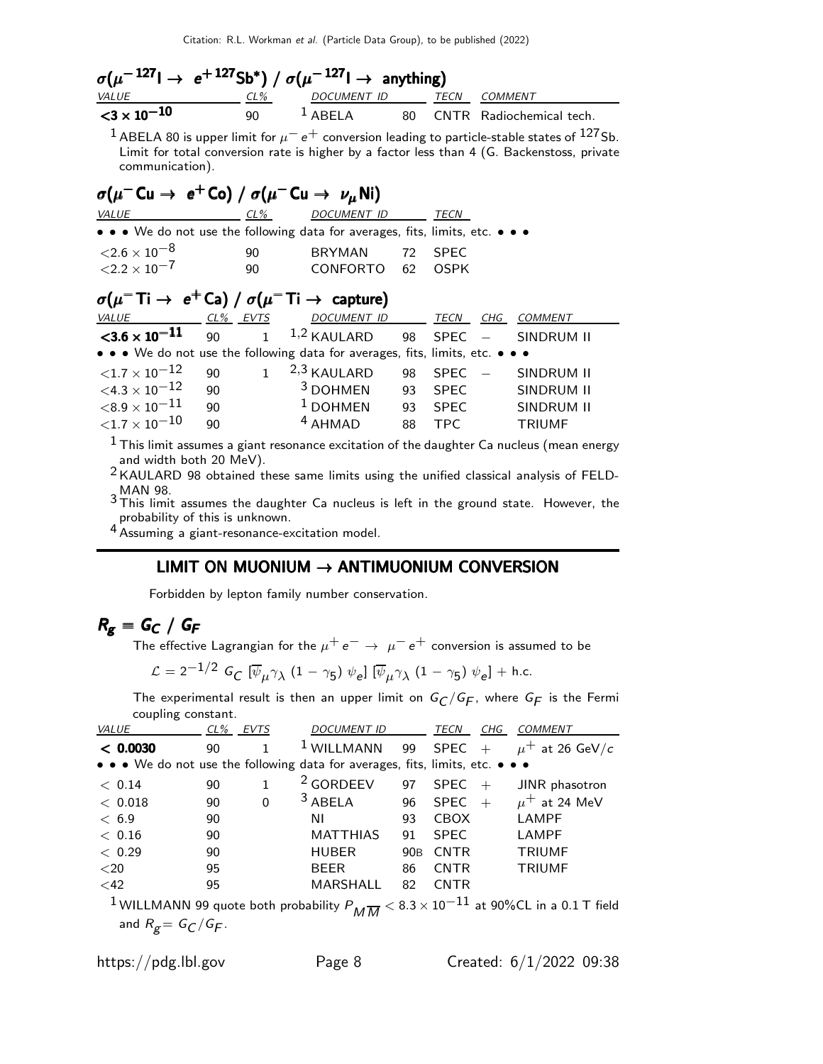|                            |      | $\sigma(\mu^{-127} \rightarrow e^{+127} \text{Sb*}) / \sigma(\mu^{-127} \rightarrow \text{anything})$ |  |                             |
|----------------------------|------|-------------------------------------------------------------------------------------------------------|--|-----------------------------|
| <i>VALUE</i>               | CL%  | DOCUMENT ID TECN                                                                                      |  | COMMENT                     |
| $<$ 3 $\times$ 10 $^{-10}$ | 90 L | $\overline{1}$ ABFI A                                                                                 |  | 80 CNTR Radiochemical tech. |

 $^1$  ABELA 80 is upper limit for  $\mu^ e^+$  conversion leading to particle-stable states of  $^{127}$ Sb. Limit for total conversion rate is higher by a factor less than 4 (G. Backenstoss, private communication).

| $\sigma(\mu^- \text{Cu} \rightarrow e^+ \text{Co}) / \sigma(\mu^- \text{Cu} \rightarrow \nu_\mu \text{Ni})$ |    |                                                                                                          |             |         |
|-------------------------------------------------------------------------------------------------------------|----|----------------------------------------------------------------------------------------------------------|-------------|---------|
| VALUE                                                                                                       |    | CL% DOCUMENT ID                                                                                          | TECN        |         |
|                                                                                                             |    | • • • We do not use the following data for averages, fits, limits, etc. • • •                            |             |         |
| $\langle 2.6 \times 10^{-8}$                                                                                | 90 | BRYMAN 72                                                                                                | <b>SPEC</b> |         |
| ${<}2.2\times10^{-7}$                                                                                       | 90 | CONFORTO 62 OSPK                                                                                         |             |         |
|                                                                                                             |    | $\sigma(\mu^- \text{Ti} \rightarrow e^+ \text{Ca}) / \sigma(\mu^- \text{Ti} \rightarrow \text{capture})$ |             |         |
|                                                                                                             |    | <u>VALUE CL% EVTS DOCUMENT ID TECN CHG</u>                                                               |             | COMMENT |
|                                                                                                             |    | $\langle 3.6 \times 10^{-11}$ 90 1 <sup>1,2</sup> KAULARD 98 SPEC - SINDRUM II                           |             |         |
|                                                                                                             |    | • • • We do not use the following data for averages, fits, limits, etc. • • •                            |             |         |
| ${<}1.7\times10^{-12}$                                                                                      |    | 90 $1^{2,3}$ KAULARD 98 SPEC $-$ SINDRUM II                                                              |             |         |

| $\leq 1.7 \times 10^{-12}$ |     | $\rightarrow$ KAULARD | $98$ SPF( $-$ | SINDRUM II    |
|----------------------------|-----|-----------------------|---------------|---------------|
| $\{4.3\times10^{-12}\}$    | 90. | <sup>3</sup> DOHMEN   | 93 SPFC       | SINDRUM II    |
| ${<}8.9\times10^{-11}$     | ۹O  | $1$ DOHMEN            | $93$ SPFC     | SINDRUM II    |
| ${<}1.7\times10^{-10}$     | 90. | $4$ AHMAD             | 88 TPC        | <b>TRIUMF</b> |
|                            |     |                       |               |               |

 $<sup>1</sup>$  This limit assumes a giant resonance excitation of the daughter Ca nucleus (mean energy</sup> and width both 20 MeV).

2 KAULARD 98 obtained these same limits using the unified classical analysis of FELD-

 $^3\rm$  MAN 98.<br> $^3\rm$  This limit assumes the daughter Ca nucleus is left in the ground state. However, the probability of this is unknown.

4 Assuming a giant-resonance-excitation model.

#### LIMIT ON MUONIUM  $\rightarrow$  ANTIMUONIUM CONVERSION

Forbidden by lepton family number conservation.

$$
R_{\mathbf{g}} = G_{\mathbf{C}} / G_{\mathbf{F}}
$$

The effective Lagrangian for the  $\mu^+ \, e^- \rightarrow \ \mu^- \, e^+$  conversion is assumed to be

$$
\mathcal{L} = 2^{-1/2} G_C \left[ \overline{\psi}_{\mu} \gamma_{\lambda} (1 - \gamma_5) \psi_{e} \right] \left[ \overline{\psi}_{\mu} \gamma_{\lambda} (1 - \gamma_5) \psi_{e} \right] + \text{h.c.}
$$

The experimental result is then an upper limit on  $G_{\mathcal{C}}/G_{\mathcal{F}}$ , where  $G_{\mathcal{F}}$  is the Fermi coupling constant.

| <b>VALUE</b>                                                                  |    | CL% EVTS | <i>DOCUMENT ID</i>   |                 | TECN        | CHG | <b>COMMENT</b>                                                                                                                   |
|-------------------------------------------------------------------------------|----|----------|----------------------|-----------------|-------------|-----|----------------------------------------------------------------------------------------------------------------------------------|
| < 0.0030                                                                      | 90 | 1        | $1$ WILLMANN         |                 | 99 SPEC +   |     | $\mu^+$ at 26 GeV/c                                                                                                              |
| • • • We do not use the following data for averages, fits, limits, etc. • • • |    |          |                      |                 |             |     |                                                                                                                                  |
| < 0.14                                                                        | 90 | 1        | <sup>2</sup> GORDEEV | 97              | SPEC        | $+$ | JINR phasotron                                                                                                                   |
| < 0.018                                                                       | 90 | $\Omega$ | $3$ ABELA            | 96              | <b>SPEC</b> | $+$ | $\mu^+$ at 24 MeV                                                                                                                |
| < 6.9                                                                         | 90 |          | ΝI                   | 93              | <b>CBOX</b> |     | <b>LAMPF</b>                                                                                                                     |
| < 0.16                                                                        | 90 |          | <b>MATTHIAS</b>      | 91              | <b>SPEC</b> |     | <b>LAMPF</b>                                                                                                                     |
| < 0.29                                                                        | 90 |          | <b>HUBER</b>         | 90 <sub>B</sub> | <b>CNTR</b> |     | <b>TRIUMF</b>                                                                                                                    |
| $<$ 20                                                                        | 95 |          | <b>BEER</b>          | 86              | <b>CNTR</b> |     | <b>TRIUMF</b>                                                                                                                    |
| $<$ 42                                                                        | 95 |          | <b>MARSHALL</b>      | 82              | <b>CNTR</b> |     |                                                                                                                                  |
|                                                                               |    |          |                      |                 |             |     | $^{-1}$ WILLMANN 99 quote both probability $P_{\overline{M}\overline{M}}$ $<$ 8.3 $\times$ 10 $^{-11}$ at 90%CL in a 0.1 T field |

and  $R_{\cancel{g}} = \emph{G}_{\digamma}/\emph{G}_{\digamma}.$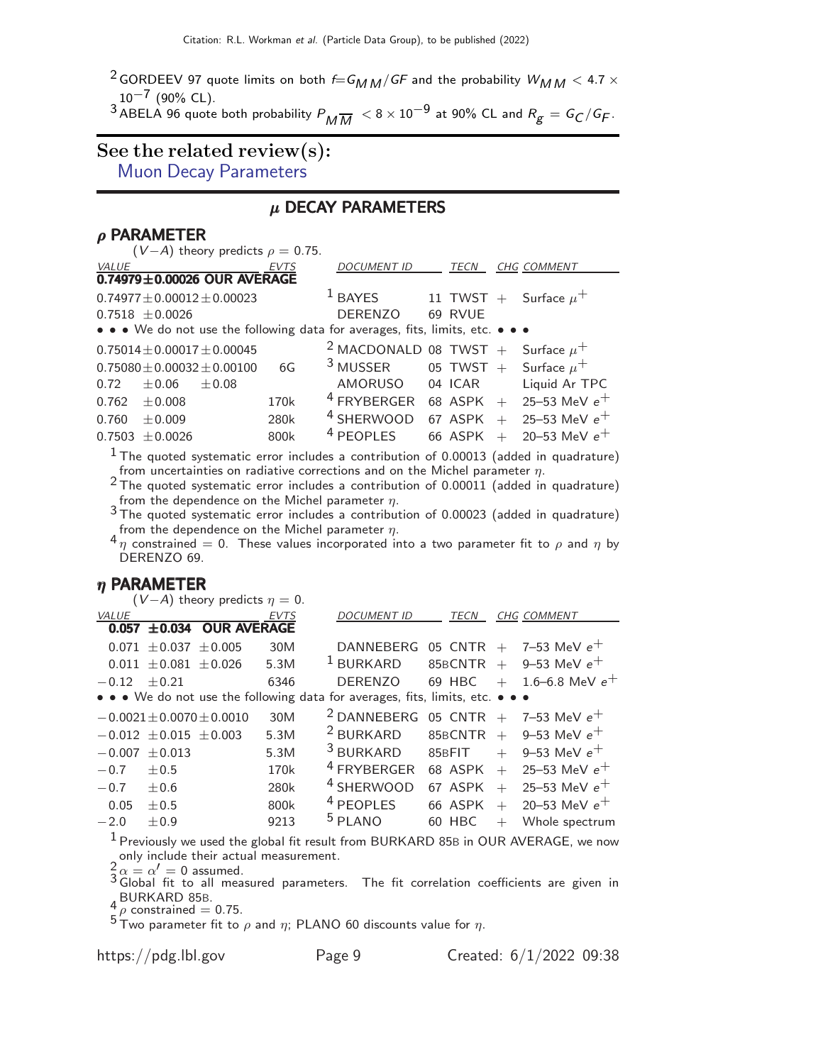<sup>2</sup> GORDEEV 97 quote limits on both  $f=G_{MM}/GF$  and the probability  $W_{MM} < 4.7 \times$  $10^{-7}$  (90% CL).

 $^3$  ABELA 96 quote both probability  $P_{\pmb{M}}\overline{\pmb{M}}\ < 8\times10^{-9}$  at 90% CL and  $R_{\pmb{g}}= \pmb{\mathcal{G}}_{\pmb{C}}/\pmb{\mathcal{G}}_{\pmb{F}}.$ 

# See the related review(s):

[Muon Decay Parameters](http://pdg.lbl.gov/2022/reviews/rpp2021-rev-muon-decay-params.pdf)

#### µ DECAY PARAMETERS

#### $ρ$  PARAMETER

| EVTS             | <b>DOCUMENT ID</b>                                                                                                                         | <b>TECN</b>                             | <b>CHG COMMENT</b>  |                                                                                                                                                                                                                                                  |
|------------------|--------------------------------------------------------------------------------------------------------------------------------------------|-----------------------------------------|---------------------|--------------------------------------------------------------------------------------------------------------------------------------------------------------------------------------------------------------------------------------------------|
|                  |                                                                                                                                            |                                         |                     |                                                                                                                                                                                                                                                  |
|                  | <sup>1</sup> BAYES                                                                                                                         |                                         |                     |                                                                                                                                                                                                                                                  |
|                  | <b>DERENZO</b>                                                                                                                             | 69 RVUE                                 |                     |                                                                                                                                                                                                                                                  |
|                  |                                                                                                                                            |                                         |                     |                                                                                                                                                                                                                                                  |
|                  |                                                                                                                                            |                                         |                     |                                                                                                                                                                                                                                                  |
| 6G               | $3$ MUSSER                                                                                                                                 |                                         |                     |                                                                                                                                                                                                                                                  |
|                  |                                                                                                                                            |                                         | Liquid Ar TPC       |                                                                                                                                                                                                                                                  |
| 170 <sub>k</sub> | <sup>4</sup> FRYBERGER                                                                                                                     |                                         |                     |                                                                                                                                                                                                                                                  |
| 280k             | <sup>4</sup> SHERWOOD                                                                                                                      |                                         | $+$ 25–53 MeV $e^+$ |                                                                                                                                                                                                                                                  |
| 800k             | <sup>4</sup> PEOPLES                                                                                                                       | 66 ASPK                                 | 20–53 MeV $e^+$     |                                                                                                                                                                                                                                                  |
|                  | 0.74979±0.00026 OUR AVERAGE<br>$0.74977 \pm 0.00012 \pm 0.00023$<br>$0.75014 \pm 0.00017 \pm 0.00045$<br>$0.75080 \pm 0.00032 \pm 0.00100$ | $(V-A)$ theory predicts $\rho = 0.75$ . | AMORUSO             | 11 TWST + Surface $\mu^+$<br>• • • We do not use the following data for averages, fits, limits, etc. • • •<br><sup>2</sup> MACDONALD 08 TWST + Surface $\mu^+$<br>05 TWST $+$ Surface $\mu^+$<br>04 ICAR<br>68 ASPK + 25-53 MeV $e^+$<br>67 ASPK |

 $<sup>1</sup>$  The quoted systematic error includes a contribution of 0.00013 (added in quadrature)</sup> from uncertainties on radiative corrections and on the Michel parameter  $\eta$ .

 $2$  The quoted systematic error includes a contribution of 0.00011 (added in quadrature) from the dependence on the Michel parameter  $\eta$ .<br><sup>3</sup> The quoted systematic error includes a contribution of 0.00023 (added in quadrature)

from the dependence on the Michel parameter  $\eta$ .<br><sup>4</sup>  $\eta$  constrained = 0. These values incorporated into a two parameter fit to  $\rho$  and  $\eta$  by DERENZO 69.

#### η PARAMETER

| $(V-A)$ theory predicts $\eta = 0$ .                                          |                  |                        |             |                                             |
|-------------------------------------------------------------------------------|------------------|------------------------|-------------|---------------------------------------------|
| <b>VALUE</b>                                                                  | EVTS             | <b>DOCUMENT ID</b>     | TECN        | CHG COMMENT                                 |
| 0.057 ±0.034 OUR AVERAGE                                                      |                  |                        |             |                                             |
| $0.071 \pm 0.037 \pm 0.005$                                                   | 30M              | DANNEBERG              |             | 05 CNTR $+$ 7-53 MeV $e^+$                  |
| $0.011 + 0.081 + 0.026$                                                       | 5.3M             | <sup>1</sup> BURKARD   | $85BCNTR +$ | 9–53 MeV $e^+$                              |
| $-0.12 + 0.21$                                                                | 6346             | <b>DERENZO</b>         | 69 HBC      | $+$ 1.6–6.8 MeV $e^+$                       |
| • • • We do not use the following data for averages, fits, limits, etc. • • • |                  |                        |             |                                             |
| $-0.0021 \pm 0.0070 \pm 0.0010$                                               | 30M              |                        |             | $^{2}$ DANNEBERG 05 CNTR + 7-53 MeV $e^{+}$ |
| $-0.012 \pm 0.015 \pm 0.003$                                                  | 5.3M             | <sup>2</sup> BURKARD   |             | 85BCNTR $+$ 9-53 MeV $e^+$                  |
| $-0.007 \pm 0.013$                                                            | 5.3M             | $3$ BURKARD            | 85BFIT      | $+$ 9-53 MeV $e^+$                          |
| $+0.5$<br>$-0.7$                                                              | 170 <sub>k</sub> | <sup>4</sup> FRYBERGER | 68 ASPK     | 25–53 MeV $e^+$<br>$+$                      |
| $-0.7$<br>$+0.6$                                                              | 280k             | <sup>4</sup> SHERWOOD  | 67 ASPK     | 25–53 MeV $e^+$<br>$+$                      |
| 0.05<br>$+0.5$                                                                | 800k             | <sup>4</sup> PEOPLES   | 66 ASPK     | $+$ 20-53 MeV $e^+$                         |
| $-2.0$<br>$+0.9$                                                              | 9213             | $5$ PLANO              | 60 HBC      | Whole spectrum<br>$^{+}$                    |
| $\mathbf{1}$                                                                  |                  |                        |             |                                             |

<sup>1</sup> Previously we used the global fit result from BURKARD 85B in OUR AVERAGE, we now

only include their actual measurement.<br>  $\frac{2}{3} \alpha = \alpha' = 0$  assumed.<br>
3 Global fit to all measured parameters. The fit correlation coefficients are given in  $\frac{4}{5}$  BURKARD 85B.<br> $\frac{4}{5}$   $\rho$  constrained = 0.75.

<sup>5</sup> Two parameter fit to  $\rho$  and  $\eta$ ; PLANO 60 discounts value for  $\eta$ .

https://pdg.lbl.gov Page 9 Created: 6/1/2022 09:38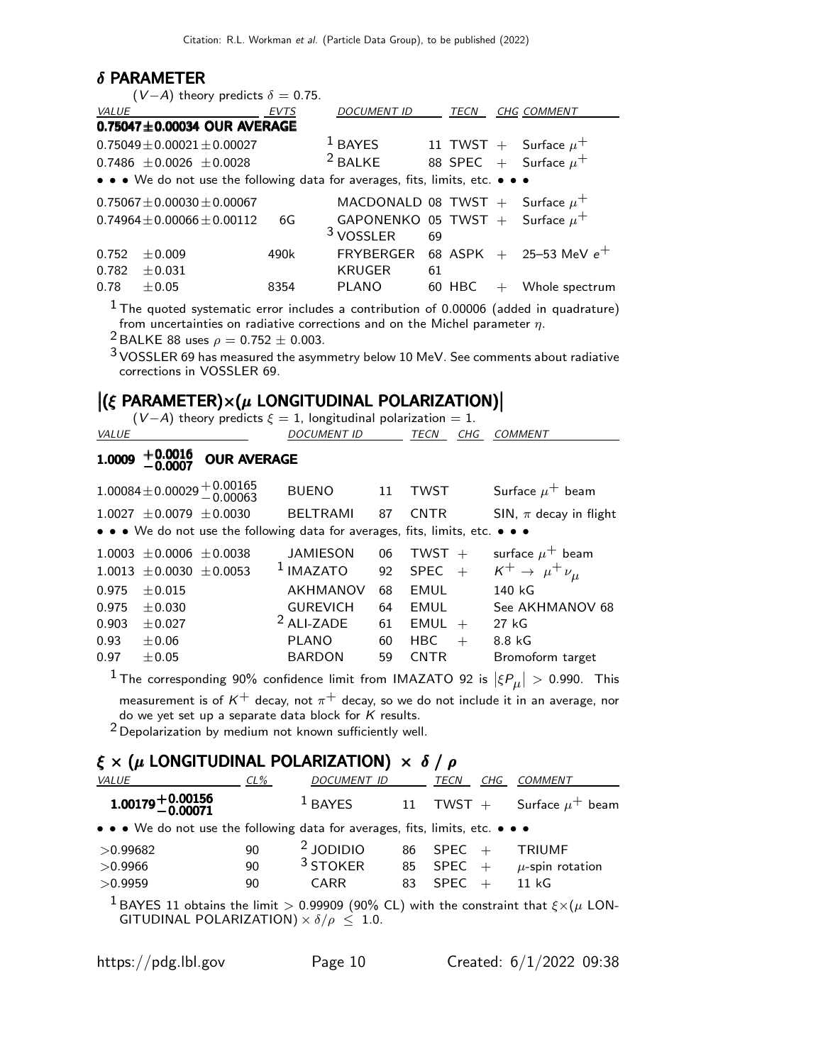#### δ PARAMETER

| $(V-A)$ theory predicts $\delta = 0.75$ .                                     |             |                                     |             |                             |
|-------------------------------------------------------------------------------|-------------|-------------------------------------|-------------|-----------------------------|
| <i>VALUE</i>                                                                  | <b>EVTS</b> | <b>DOCUMENT ID</b>                  | <b>TECN</b> | <b>CHG COMMENT</b>          |
| $0.75047 \pm 0.00034$ OUR AVERAGE                                             |             |                                     |             |                             |
| $0.75049 \pm 0.00021 \pm 0.00027$                                             |             | $1$ BAYES                           |             | 11 TWST + Surface $\mu^+$   |
| $0.7486 + 0.0026 + 0.0028$                                                    |             | $2$ BALKE                           |             | 88 SPEC + Surface $\mu^+$   |
| • • • We do not use the following data for averages, fits, limits, etc. • • • |             |                                     |             |                             |
| $0.75067 \pm 0.00030 \pm 0.00067$                                             |             | MACDONALD 08 TWST + Surface $\mu^+$ |             |                             |
| $0.74964 \pm 0.00066 \pm 0.00112$                                             | 6G          | GAPONENKO 05 TWST + Surface $\mu^+$ |             |                             |
|                                                                               |             | <sup>3</sup> VOSSLER                | 69          |                             |
| 0.752<br>$+0.009$                                                             | 490k        | FRYBERGER                           |             | 68 ASPK $+$ 25-53 MeV $e^+$ |
| 0.782<br>$+0.031$                                                             |             | <b>KRUGER</b>                       | 61          |                             |
| 0.78<br>$+0.05$                                                               | 8354        | <b>PLANO</b>                        | 60 HBC      | Whole spectrum              |

 $^{\rm 1}$ The quoted systematic error includes a contribution of 0.00006 (added in quadrature) from uncertainties on radiative corrections and on the Michel parameter  $\eta.$ 

<sup>2</sup> BALKE 88 uses  $\rho = 0.752 \pm 0.003$ .

3 VOSSLER 69 has measured the asymmetry below 10 MeV. See comments about radiative corrections in VOSSLER 69.

# $|(\xi \text{ PARAMETER}) \times (\mu \text{ LONGITUDINAL POLARIZATION})|$ <br>
(V 4) theory prodicts  $\xi = 1$  longitudinal polarization = 1

|              | $(V-A)$ theory predicts $\xi = 1$ , longitudinal polarization = 1. |  |                  |
|--------------|--------------------------------------------------------------------|--|------------------|
| <i>VALUE</i> | <i>DOCUMENT ID</i>                                                 |  | TECN CHG COMMENT |

#### $1.0009$   $+0.0016$  OUR AVERAGE OUR AVERAGE

|       |                                | $1.00084 \pm 0.00029 \begin{array}{r} +0.00165 \\ -0.00063 \end{array}$ | <b>BUENO</b>                                                                  | -11 | <b>TWST</b>        | Surface $\mu^+$ beam            |
|-------|--------------------------------|-------------------------------------------------------------------------|-------------------------------------------------------------------------------|-----|--------------------|---------------------------------|
|       | $1.0027 \pm 0.0079 \pm 0.0030$ |                                                                         | <b>BELTRAMI</b>                                                               | 87  | <b>CNTR</b>        | SIN, $\pi$ decay in flight      |
|       |                                |                                                                         | • • • We do not use the following data for averages, fits, limits, etc. • • • |     |                    |                                 |
|       | $1.0003 \pm 0.0006 \pm 0.0038$ |                                                                         | <b>JAMIESON</b>                                                               | 06  | TWST $+$           | surface $\mu^+$ beam            |
|       | $1.0013 \pm 0.0030 \pm 0.0053$ |                                                                         | $1$ IMAZATO                                                                   | 92  | <b>SPEC</b><br>$+$ | $K^+ \rightarrow \mu^+ \nu_\mu$ |
| 0.975 | $\pm 0.015$                    |                                                                         | AKHMANOV                                                                      | 68  | <b>EMUL</b>        | 140 kG                          |
| 0.975 | $+0.030$                       |                                                                         | <b>GUREVICH</b>                                                               | 64  | EMUL               | See AKHMANOV 68                 |
| 0.903 | $\pm 0.027$                    |                                                                         | $2$ ALI-ZADE                                                                  | 61  | EMUL<br>$+$        | 27 kG                           |
| 0.93  | $\pm 0.06$                     |                                                                         | <b>PLANO</b>                                                                  | 60  | <b>HBC</b><br>$+$  | 8.8 kG                          |
| 0.97  | $\pm 0.05$                     |                                                                         | <b>BARDON</b>                                                                 | 59  | <b>CNTR</b>        | Bromoform target                |

 $^1$ The corresponding 90% confidence limit from IMAZATO 92 is  $|\xi P_\mu| >$  0.990. This measurement is of  $\mathsf{K}^{+}$  decay, not  $\pi^{+}$  decay, so we do not include it in an average, nor do we yet set up a separate data block for  $K$  results.

2 Depolarization by medium not known sufficiently well.

# ξ  $\times$  ( $\mu$  LONGITUDINAL POLARIZATION)  $\times$  δ /  $\rho$

| VALUE                                                                         | $CL\%$ | <b>DOCUMENT ID</b> |    | TECN<br>CHG | <b>COMMENT</b>                                                                                            |
|-------------------------------------------------------------------------------|--------|--------------------|----|-------------|-----------------------------------------------------------------------------------------------------------|
| $1.00179 + 0.00156$<br>-0.00071                                               |        | $1$ BAYES          |    | 11 TWST $+$ | Surface $\mu^+$ beam                                                                                      |
| • • • We do not use the following data for averages, fits, limits, etc. • • • |        |                    |    |             |                                                                                                           |
| >0.99682                                                                      | 90     | $2$ JODIDIO        | 86 | $SPEC +$    | <b>TRIUMF</b>                                                                                             |
| >0.9966                                                                       | 90     | $3$ STOKER         | 85 | SPEC        | $+$ $\mu$ -spin rotation                                                                                  |
| >0.9959                                                                       | 90     | CARR               | 83 | $SPEC +$    | 11 kG                                                                                                     |
|                                                                               |        |                    |    |             | <b>IRAVES 11</b> obtains the limit $\leq 0.00000$ (00% CL) with the constraint that $\zeta \vee (\mu)$ ON |

 $11$  obtains the limit  $>$  0.99909 (90% CL) with the constraint that  $\xi\!\times\!(\mu$  LON-GITUDINAL POLARIZATION)  $\times$   $\delta/\rho \leq 1.0$ .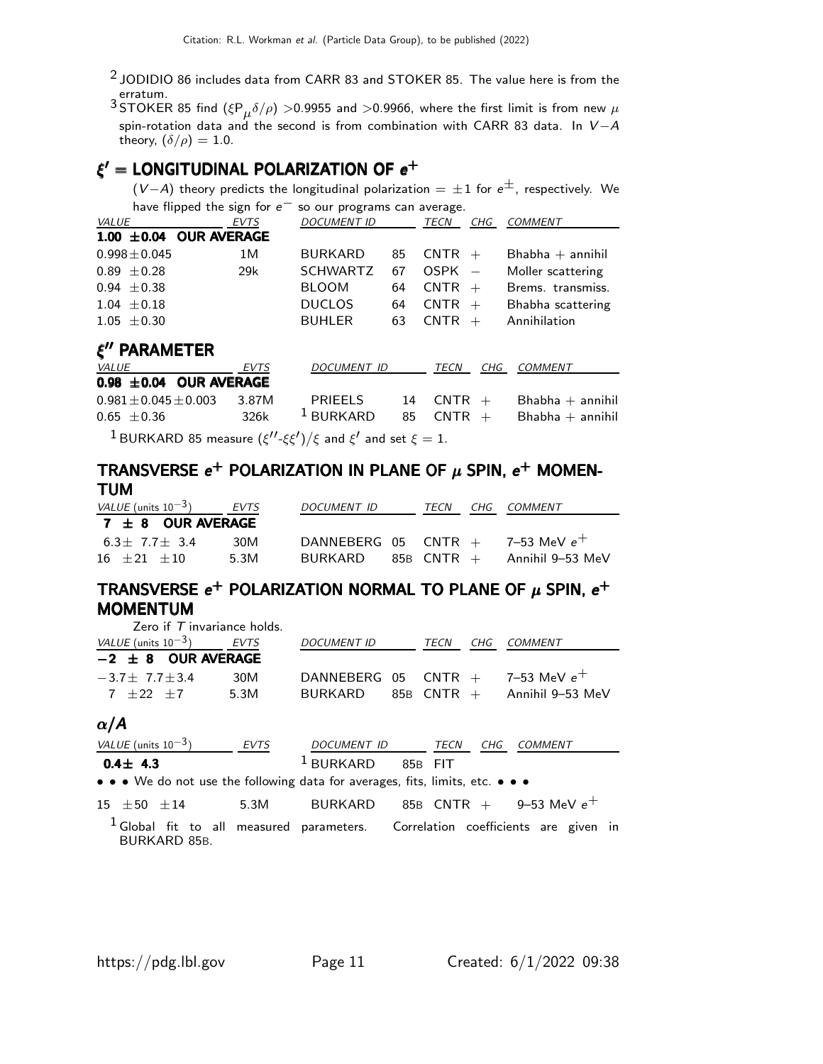<sup>2</sup> JODIDIO 86 includes data from CARR 83 and STOKER 85. The value here is from the erratum.

 $^3$ STOKER 85 find  $(\xi P_\mu \delta/\rho) >$ 0.9955 and  $>$ 0.9966, where the first limit is from new  $\mu$ spin-rotation data and the second is from combination with CARR 83 data. In  $V - A$ theory,  $(\delta/\rho) = 1.0$ .

### $\xi' =$  LONGITUDINAL POLARIZATION OF  $e^+$

 $(V-A)$  theory predicts the longitudinal polarization =  $\pm 1$  for  $e^{\pm}$ , respectively. We have flipped the sign for  $e^-$  so our programs can average.

| <i>VALUE</i>                | <b>EVTS</b> | <b>DOCUMENT ID</b> |    | TECN     | CHG | <i>COMMENT</i>     |
|-----------------------------|-------------|--------------------|----|----------|-----|--------------------|
| $1.00 \pm 0.04$ OUR AVERAGE |             |                    |    |          |     |                    |
| $0.998 \pm 0.045$           | 1 M         | <b>BURKARD</b>     | 85 | $CNTR +$ |     | $Bhabha + annihil$ |
| $0.89 \pm 0.28$             | 29k         | <b>SCHWARTZ</b>    | 67 | $OSPK =$ |     | Moller scattering  |
| $0.94 + 0.38$               |             | <b>BLOOM</b>       | 64 | $CNTR +$ |     | Brems. transmiss.  |
| $1.04 \pm 0.18$             |             | <b>DUCLOS</b>      | 64 | $CNTR +$ |     | Bhabha scattering  |
| $1.05 \pm 0.30$             |             | <b>BUHLER</b>      | 63 | $CNTR +$ |     | Annihilation       |
|                             |             |                    |    |          |     |                    |

### ξ ′′ PARAMETER

| <i>VALUE</i>                                                                                     | EVTS | DOCUMENT ID | TECN      | CHG COMMENT           |
|--------------------------------------------------------------------------------------------------|------|-------------|-----------|-----------------------|
| $0.98 \pm 0.04$ OUR AVERAGE                                                                      |      |             |           |                       |
| $0.981 \pm 0.045 \pm 0.003$ 3.87M                                                                |      | PRIEELS     | 14 CNTR + | $Bhabha + annihil$    |
| $0.65 \pm 0.36$                                                                                  | 326k | $1$ BURKARD | 85 CNTR + | $B$ habha $+$ annihil |
| <b>IDIIDIZADD OF measure <math>(d/dc)/c</math> and <math>d</math> and set <math>c = 1</math></b> |      |             |           |                       |

 $^1$ BURKARD 85 measure  $(\xi''\text{-}\xi\xi')/\xi$  and  $\xi'$  and set  $\xi=1.$ 

#### TRANSVERSE  $e^+$  POLARIZATION IN PLANE OF  $\mu$  SPIN,  $e^+$  MOMEN-TUM TUM TUM TUM

| VALUE (units $10^{-3}$ ) | EVTS | DOCUMENT ID | TFCN | CHG COMMENT                          |
|--------------------------|------|-------------|------|--------------------------------------|
| $7 \pm 8$ OUR AVERAGE    |      |             |      |                                      |
| $6.3 + 7.7 + 3.4$        | 30M  |             |      | DANNEBERG 05 CNTR $+$ 7-53 MeV $e^+$ |
| $16 \pm 21 \pm 10$       | 5.3M | BURKARD     |      | $85B$ CNTR $+$ Annihil 9–53 MeV      |

#### TRANSVERSE  $e^+$  POLARIZATION NORMAL TO PLANE OF  $\mu$  SPIN,  $e^+$ MOMENTUM MOMENTUM MOMENTUM MOMENTUM Zero if T invariance holds.

| ZEIO II 7 IIIVAHAHCE HOIUS. |      |                    |                         |     |                                      |
|-----------------------------|------|--------------------|-------------------------|-----|--------------------------------------|
| VALUE (units $10^{-3}$ )    | EVTS | <b>DOCUMENT ID</b> | TECN                    | CHG | <i>COMMENT</i>                       |
| $-2 \pm 8$ OUR AVERAGE      |      |                    |                         |     |                                      |
| $-3.7 + 7.7 + 3.4$          | 30M  |                    |                         |     | DANNEBERG 05 CNTR $+$ 7-53 MeV $e^+$ |
| $7 + 22 + 7$                | 5.3M | BURKARD            | $85\mathrm{B}$ CNTR $+$ |     | Annihil 9–53 MeV                     |
|                             |      |                    |                         |     |                                      |

#### $\alpha/A$

|                    | VALUE (units $10^{-3}$ ) | EVTS | <i>DOCUMENT ID</i>                                                                                                    |         | TECN | CHG | COMMENT                                |
|--------------------|--------------------------|------|-----------------------------------------------------------------------------------------------------------------------|---------|------|-----|----------------------------------------|
| $0.4 \pm 4.3$      |                          |      | $1$ BURKARD                                                                                                           | 85B FIT |      |     |                                        |
|                    |                          |      | $\bullet \bullet \bullet$ We do not use the following data for averages, fits, limits, etc. $\bullet \bullet \bullet$ |         |      |     |                                        |
| $15 \pm 50 \pm 14$ |                          | 5.3M | BURKARD                                                                                                               |         |      |     | $85\mathrm{B}$ CNTR $+$ 9-53 MeV $e^+$ |

 $1$  Global fit to all measured parameters. Correlation coefficients are given in BURKARD 85B.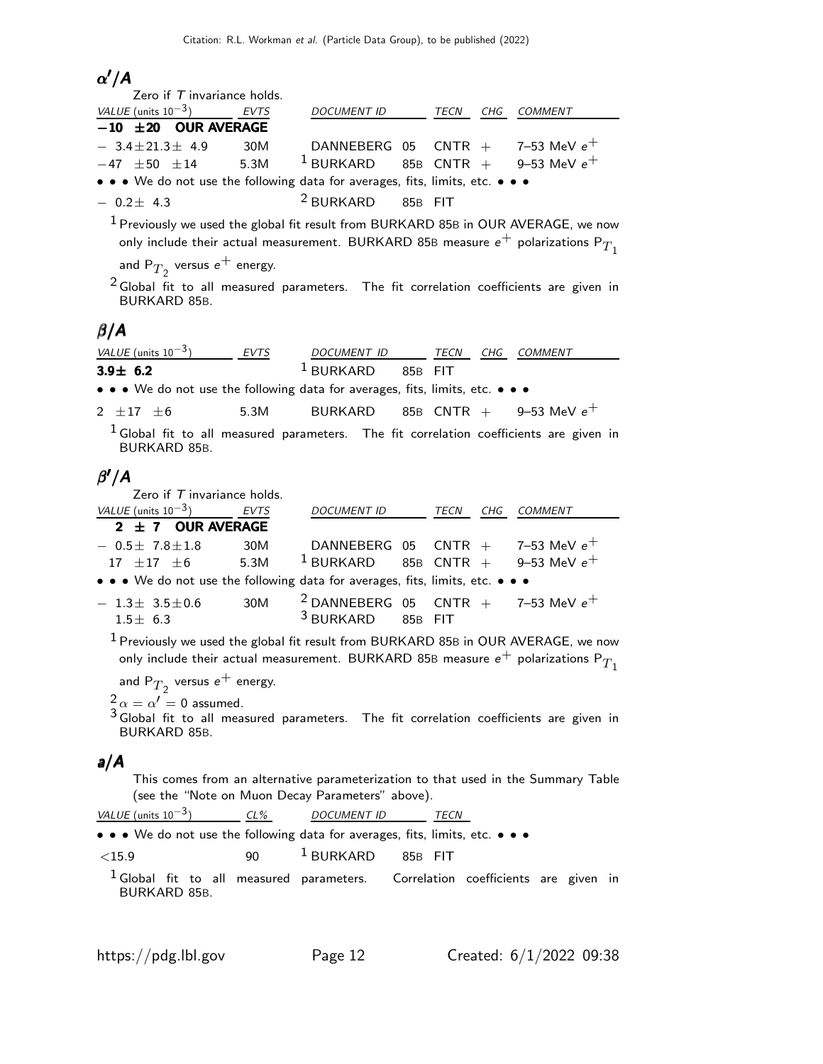### $\alpha'/A$

| Zero if $T$ invariance holds.                                                        |     |                              |  |                                      |
|--------------------------------------------------------------------------------------|-----|------------------------------|--|--------------------------------------|
| VALUE (units $10^{-3}$ ) EVTS                                                        |     | DOCUMENT ID TECN CHG COMMENT |  |                                      |
| $-10$ $\pm 20$ OUR AVERAGE                                                           |     |                              |  |                                      |
| $-3.4 \pm 21.3 \pm 4.9$                                                              | 30M |                              |  | DANNEBERG 05 CNTR $+$ 7-53 MeV $e^+$ |
| $-47$ $\pm 50$ $\pm 14$ 5.3M <sup>1</sup> BURKARD 85B CNTR + 9-53 MeV e <sup>+</sup> |     |                              |  |                                      |
| • • • We do not use the following data for averages, fits, limits, etc. • • •        |     |                              |  |                                      |
| $-0.2+4.3$                                                                           |     | $2$ BURKARD 85B FIT          |  |                                      |

 $1$  Previously we used the global fit result from BURKARD 85B in OUR AVERAGE, we now only include their actual measurement. BURKARD 85B measure  $e^+$  polarizations P $T_1$ 

and  $\mathsf{P}_{T_2}$  versus  $\mathsf{e}^+$  energy.

 $2$  Global fit to all measured parameters. The fit correlation coefficients are given in BURKARD 85B.

#### $\beta/A$

| VALUE (units $10^{-3}$ ) | <b>FVTS</b> | DOCUMENT ID            |         | TFCN | CHG COMMENT |
|--------------------------|-------------|------------------------|---------|------|-------------|
| $3.9 \pm 6.2$            |             | $\overline{1}$ BURKARD | 85B FIT |      |             |

• • • We do not use the following data for averages, fits, limits, etc. • • •

| BURKARD 85B CNTR $+$<br>5.3M<br>$2 \pm 17 \pm 6$ |  | 9–53 MeV $e^+$ |
|--------------------------------------------------|--|----------------|
|--------------------------------------------------|--|----------------|

 $<sup>1</sup>$  Global fit to all measured parameters. The fit correlation coefficients are given in</sup> BURKARD 85B.

### β ′/A

Zero if  $T$  invariance holds.

| VALUE (units $10^{-3}$ )                                                      | EVTS | DOCUMENT ID TECN                            |         | CHG | <i>COMMENT</i> |
|-------------------------------------------------------------------------------|------|---------------------------------------------|---------|-----|----------------|
| $2 \pm 7$ OUR AVERAGE                                                         |      |                                             |         |     |                |
| $-0.5\pm 7.8\pm 1.8$                                                          | 30M  | DANNEBERG 05 CNTR $+$ 7-53 MeV $e^+$        |         |     |                |
| $17\ \pm 17\ \pm 6$ 5.3M                                                      |      | $1$ BURKARD 85B CNTR + 9-53 MeV $e^+$       |         |     |                |
| • • • We do not use the following data for averages, fits, limits, etc. • • • |      |                                             |         |     |                |
| $-1.3\pm 3.5\pm 0.6$                                                          | 30M  | $^{2}$ DANNEBERG 05 CNTR + 7-53 MeV $e^{+}$ |         |     |                |
| $1.5 + 6.3$                                                                   |      | <sup>3</sup> BURKARD                        | 85B FIT |     |                |

1 Previously we used the global fit result from BURKARD 85<sup>B</sup> in OUR AVERAGE, we now only include their actual measurement. BURKARD 85B measure  $e^+$  polarizations P $T_1$ 

and  $\mathsf{P}_{T_2}$  versus  $\mathsf{e}^+$  energy.

 $\frac{2}{3} \alpha = \alpha' = 0$  assumed.

 $3$  Global fit to all measured parameters. The fit correlation coefficients are given in BURKARD 85B.

#### a/A

This comes from an alternative parameterization to that used in the Summary Table (see the "Note on Muon Decay Parameters" above).

| <i>VALUE</i> (units $10^{-3}$ )                                                                                       | $CL\%$ | <i>DOCUMENT ID</i>              | TECN |  |  |
|-----------------------------------------------------------------------------------------------------------------------|--------|---------------------------------|------|--|--|
| $\bullet \bullet \bullet$ We do not use the following data for averages, fits, limits, etc. $\bullet \bullet \bullet$ |        |                                 |      |  |  |
| ${<}15.9$                                                                                                             |        | 90 <sup>1</sup> BURKARD 85B FIT |      |  |  |
| $1$ Global fit to all measured parameters. Correlation coefficients are given in<br>BURKARD 85B.                      |        |                                 |      |  |  |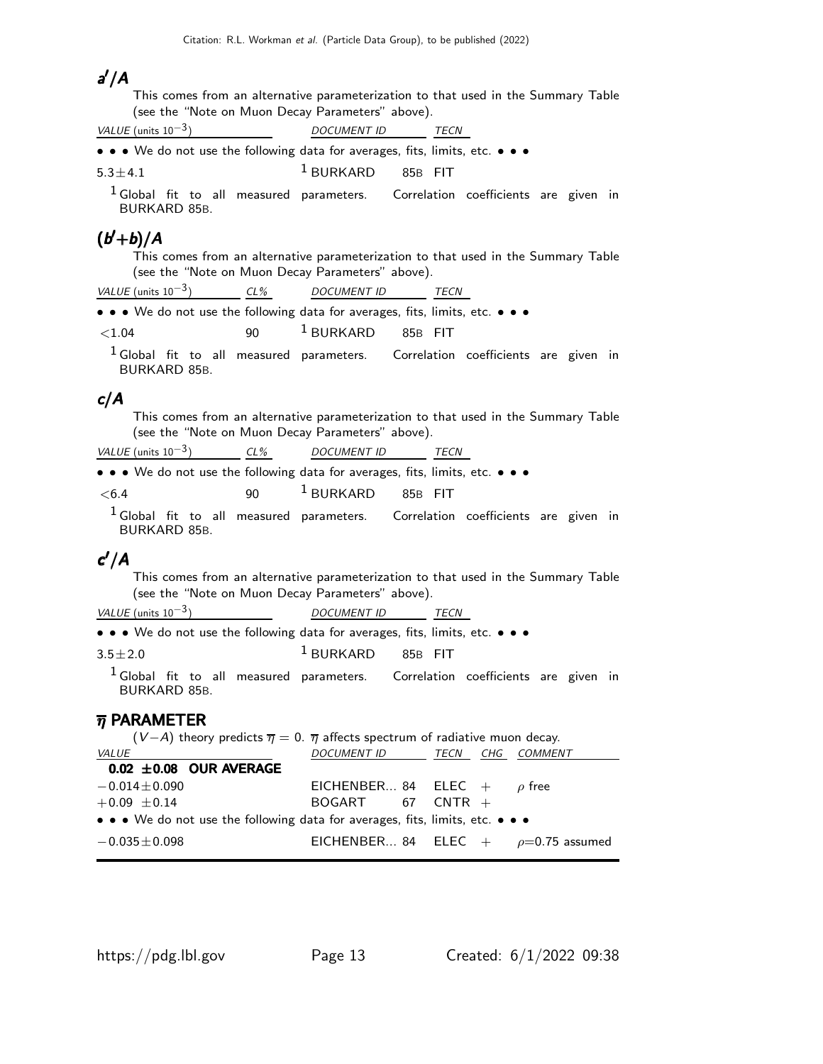### a ′/A

This comes from an alternative parameterization to that used in the Summary Table (see the "Note on Muon Decay Parameters" above).

| VALUE (units $10^{-3}$ )                                                                                              | <b>DOCUMENT ID</b>  | <b>TECN</b> |  |  |
|-----------------------------------------------------------------------------------------------------------------------|---------------------|-------------|--|--|
| $\bullet \bullet \bullet$ We do not use the following data for averages, fits, limits, etc. $\bullet \bullet \bullet$ |                     |             |  |  |
| $5.3 \pm 4.1$                                                                                                         | $1$ BURKARD 85B FIT |             |  |  |

 $1$  Global fit to all measured parameters. Correlation coefficients are given in BURKARD 85B.

### $(b'+b)/A$

This comes from an alternative parameterization to that used in the Summary Table (see the "Note on Muon Decay Parameters" above).

VALUE (units  $10^{-3}$ ) CL% DOCUMENT ID TECN

• • • We do not use the following data for averages, fits, limits, etc. • • •

 $\le$ 1.04 90  $^1$  BURKARD 85B FIT

 $1$  Global fit to all measured parameters. Correlation coefficients are given in BURKARD 85B.

#### c/A

This comes from an alternative parameterization to that used in the Summary Table (see the "Note on Muon Decay Parameters" above).

|--|

|  |  |  |  |  |  | • • • We do not use the following data for averages, fits, limits, etc. • • • |  |  |  |  |  |  |
|--|--|--|--|--|--|-------------------------------------------------------------------------------|--|--|--|--|--|--|
|--|--|--|--|--|--|-------------------------------------------------------------------------------|--|--|--|--|--|--|

 $<$  6.4 90  $^1$  BURKARD 85B FIT

 $<sup>1</sup>$  Global fit to all measured parameters. Correlation coefficients are given in</sup> BURKARD 85B.

### $c'/A$

This comes from an alternative parameterization to that used in the Summary Table (see the "Note on Muon Decay Parameters" above).

VALUE (units  $10^{-3}$ ) DOCUMENT ID TECN

• • • We do not use the following data for averages, fits, limits, etc. • • •

#### 3.5±2.0

 $1$  BURKARD 85B FIT

 $<sup>1</sup>$  Global fit to all measured parameters. Correlation coefficients are given in</sup> BURKARD 85B.

#### $\overline{\eta}$  PARAMETER

| $(V-A)$ theory predicts $\overline{\eta} = 0$ . $\overline{\eta}$ affects spectrum of radiative muon decay. |                                 |  |  |  |                                            |  |  |  |  |  |
|-------------------------------------------------------------------------------------------------------------|---------------------------------|--|--|--|--------------------------------------------|--|--|--|--|--|
| <i>VALUE</i>                                                                                                | DOCUMENT ID TECN CHG COMMENT    |  |  |  |                                            |  |  |  |  |  |
| $0.02 \pm 0.08$ OUR AVERAGE                                                                                 |                                 |  |  |  |                                            |  |  |  |  |  |
| $-0.014 \pm 0.090$                                                                                          | EICHENBER 84 ELEC + $\rho$ free |  |  |  |                                            |  |  |  |  |  |
| $+0.09 \pm 0.14$                                                                                            | $BOGART$ 67 CNTR $+$            |  |  |  |                                            |  |  |  |  |  |
| • • • We do not use the following data for averages, fits, limits, etc. • • •                               |                                 |  |  |  |                                            |  |  |  |  |  |
| $-0.035 \pm 0.098$                                                                                          |                                 |  |  |  | EICHENBER 84 ELEC $+$ $\rho$ =0.75 assumed |  |  |  |  |  |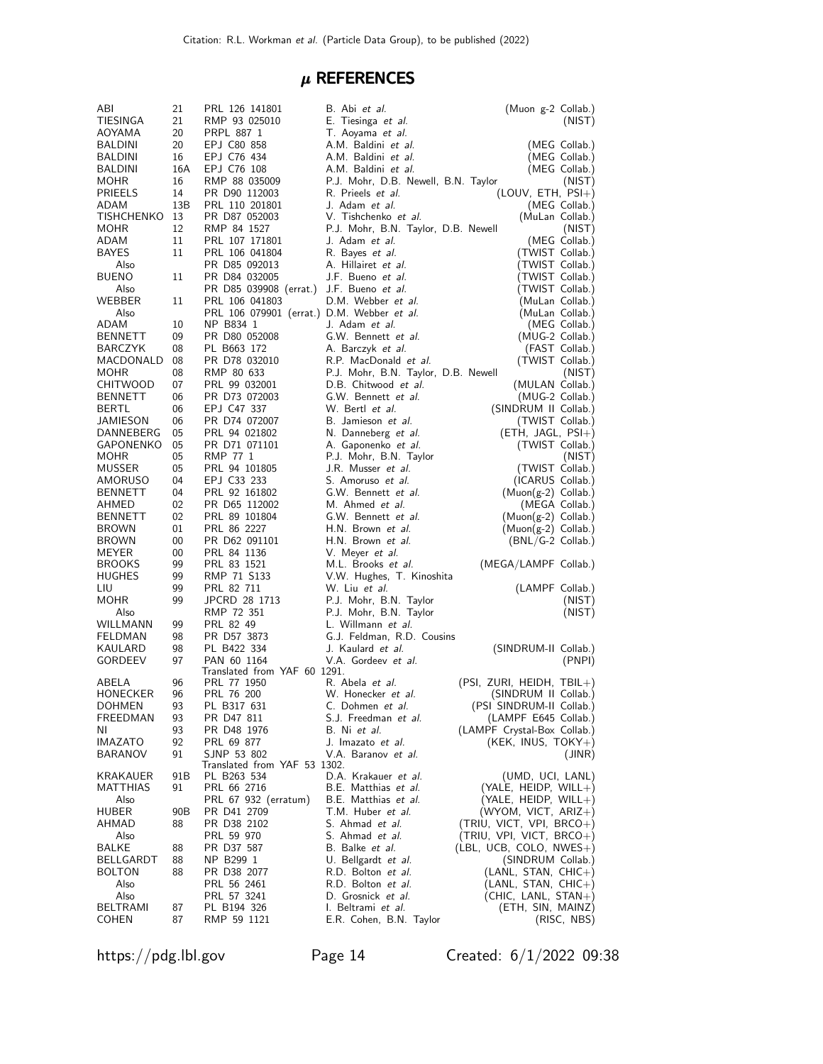### $\mu$  REFERENCES

| ABI                      | 21              | PRL 126 141801                              | B. Abi et al.                                                | (Muon g-2 Collab.)               |
|--------------------------|-----------------|---------------------------------------------|--------------------------------------------------------------|----------------------------------|
| TIESINGA                 | 21              | RMP 93 025010                               | E. Tiesinga et al.                                           | (NIST)                           |
| AOYAMA                   | 20              | PRPL 887 1                                  | T. Aoyama et al.                                             |                                  |
| BALDINI                  | 20              | EPJ C80 858                                 | A.M. Baldini et al.                                          | (MEG Collab.)                    |
| BALDINI                  | 16              | EPJ C76 434                                 | A.M. Baldini et al.                                          | (MEG Collab.)                    |
| BALDINI                  | 16A             | EPJ C76 108                                 | A.M. Baldini et al.                                          | (MEG Collab.)                    |
| MOHR                     | 16              | RMP 88 035009                               | P.J. Mohr, D.B. Newell, B.N. Taylor                          | (NIST)                           |
| <b>PRIEELS</b>           | 14              | PR D90 112003                               | R. Prieels <i>et al.</i>                                     | $(LOUV, ETH, PSI+)$              |
| <b>ADAM</b>              | 13B             | PRL 110 201801                              | J. Adam et al.                                               | (MEG Collab.)                    |
| <b>TISHCHENKO</b>        | 13<br>12        | PR D87 052003<br>RMP 84 1527                | V. Tishchenko et al.                                         | (MuLan Collab.)                  |
| MOHR<br>ADAM             | 11              | PRL 107 171801                              | P.J. Mohr, B.N. Taylor, D.B. Newell<br>J. Adam <i>et al.</i> | (NIST)<br>(MEG Collab.)          |
| <b>BAYES</b>             | 11              | PRL 106 041804                              | R. Bayes et al.                                              | (TWIST Collab.)                  |
| Also                     |                 | PR D85 092013                               | A. Hillairet et al.                                          | (TWIST Collab.)                  |
| <b>BUENO</b>             | 11              | PR D84 032005                               | J.F. Bueno et al.                                            | (TWIST Collab.)                  |
| Also                     |                 | PR D85 039908 (errat.)                      | J.F. Bueno et al.                                            | (TWIST Collab.)                  |
| WEBBER                   | 11              | PRL 106 041803                              | D.M. Webber et al.                                           | (MuLan Collab.)                  |
| Also                     |                 | PRL 106 079901 (errat.) D.M. Webber et al.  |                                                              | (MuLan Collab.)                  |
| ADAM                     | 10              | NP B834 1                                   | J. Adam et al.                                               | (MEG Collab.)                    |
| <b>BENNETT</b>           | 09              | PR D80 052008                               | G.W. Bennett et al.                                          | (MUG-2 Collab.)                  |
| <b>BARCZYK</b>           | 08              | PL B663 172                                 | A. Barczyk et al.                                            | (FAST Collab.)                   |
| MACDONALD                | 08              | PR D78 032010                               | R.P. MacDonald et al.                                        | (TWIST Collab.)                  |
| MOHR                     | 08              | RMP 80 633                                  | P.J. Mohr, B.N. Taylor, D.B. Newell                          | (NIST)                           |
| <b>CHITWOOD</b>          | 07              | PRL 99 032001                               | D.B. Chitwood et al.                                         | (MULAN Collab.)                  |
| <b>BENNETT</b>           | 06              | PR D73 072003                               | G.W. Bennett et al.                                          | (MUG-2 Collab.)                  |
| BERTL                    | 06              | EPJ C47 337                                 | W. Bertl et al.                                              | (SINDRUM II Collab.)             |
| JAMIESON                 | 06              | PR D74 072007                               | B. Jamieson et al.                                           | (TWIST Collab.)                  |
| DANNEBERG                | 05              | PRL 94 021802                               | N. Danneberg et al.                                          | $(ETH, JAGL, PSI+)$              |
| <b>GAPONENKO</b>         | 05              | PR D71 071101                               | A. Gaponenko et al.                                          | (TWIST Collab.)                  |
| <b>MOHR</b>              | 05              | RMP 77 1                                    | P.J. Mohr, B.N. Taylor                                       | (NIST)                           |
| <b>MUSSER</b>            | 05              | PRL 94 101805                               | J.R. Musser <i>et al.</i>                                    | (TWIST Collab.)                  |
| AMORUSO                  | 04              | EPJ C33 233                                 | S. Amoruso et al.                                            | (ICARUS Collab.)                 |
| <b>BENNETT</b>           | 04              | PRL 92 161802                               | G.W. Bennett et al.                                          | $(Muon(g-2)$ Collab.)            |
| AHMED                    | 02              | PR D65 112002                               | M. Ahmed et al.                                              | (MEGA Collab.)                   |
| <b>BENNETT</b>           | 02              | PRL 89 101804                               | G.W. Bennett et al.                                          | (Muon(g-2) Collab.)              |
| <b>BROWN</b>             | 01              | PRL 86 2227                                 | H.N. Brown et al.                                            | $(Muon(g-2)$ Collab.)            |
| <b>BROWN</b><br>MEYER    | 00<br>00        | PR D62 091101<br>PRL 84 1136                | H.N. Brown et al.                                            | $(BNL/G-2$ Collab.)              |
| <b>BROOKS</b>            | 99              | PRL 83 1521                                 | V. Meyer <i>et al.</i><br>M.L. Brooks et al.                 | (MEGA/LAMPF Collab.)             |
| <b>HUGHES</b>            | 99              | RMP 71 S133                                 | V.W. Hughes, T. Kinoshita                                    |                                  |
| LIU                      | 99              | PRL 82 711                                  | W. Liu et al.                                                | (LAMPF Collab.)                  |
| <b>MOHR</b>              | 99              | JPCRD 28 1713                               | P.J. Mohr, B.N. Taylor                                       | (NIST)                           |
| Also                     |                 | RMP 72 351                                  | P.J. Mohr, B.N. Taylor                                       | (NIST)                           |
| WILLMANN                 | 99              | PRL 82 49                                   | L. Willmann et al.                                           |                                  |
| FELDMAN                  | 98              | PR D57 3873                                 | G.J. Feldman, R.D. Cousins                                   |                                  |
| KAULARD                  | 98              | PL B422 334                                 | J. Kaulard et al.                                            | (SINDRUM-II Collab.)             |
| GORDEEV                  | 97              | PAN 60 1164                                 | V.A. Gordeev et al.                                          | (PNPI)                           |
|                          |                 | Translated from YAF 60 1291.                |                                                              |                                  |
| ABELA                    | 96              | PRL 77 1950                                 | R. Abela et al.                                              | (PSI, ZURI, HEIDH, TBIL+)        |
| HONECKER                 | 96              | PRL 76 200                                  | W. Honecker et al.                                           | (SINDRUM II Collab.)             |
| DOHMEN                   | 93              | PL B317 631                                 | C. Dohmen et al.                                             | (PSI SINDRUM-II Collab.)         |
| FREEDMAN                 | 93              | PR D47 811                                  | S.J. Freedman et al.                                         | (LAMPF E645 Collab.)             |
| ΝI                       | 93              | PR D48 1976                                 | B. Ni et al.                                                 | (LAMPF Crystal-Box Collab.)      |
| <b>IMAZATO</b>           | 92              | PRL 69 877                                  | J. Imazato <i>et al.</i>                                     | $(KEK, INUS, TOKY+)$             |
| BARANOV                  | 91              | SJNP 53 802<br>Translated from YAF 53 1302. | V.A. Baranov et al.                                          | (JINR)                           |
| KRAKAUER                 | 91B             | PL B263 534                                 | D.A. Krakauer et al.                                         | (UMD, UCI, LANL)                 |
| MATTHIAS                 | 91              | PRL 66 2716                                 | B.E. Matthias et al.                                         | (YALE, HEIDP, WILL+)             |
| Also                     |                 | PRL 67 932 (erratum)                        | B.E. Matthias et al.                                         | $(YALE, HEIDP, WILL+)$           |
| HUBER                    | 90 <sub>B</sub> | PR D41 2709                                 | T.M. Huber <i>et al.</i>                                     | $(WYOM, VICT, ARIZ+)$            |
| AHMAD                    | 88              | PR D38 2102                                 | S. Ahmad et al.                                              | (TRIU, VICT, VPI, BRCO+)         |
| Also                     |                 | PRL 59 970                                  | S. Ahmad et al.                                              | (TRIU, VPI, VICT, BRCO+)         |
| BALKE                    | 88              | PR D37 587                                  | B. Balke et al.                                              | $(LBL, UCB, COLO, NWES+)$        |
| BELLGARDT                | 88              | NP B299 1                                   | U. Bellgardt et al.                                          | (SINDRUM Collab.)                |
| <b>BOLTON</b>            | 88              | PR D38 2077                                 | R.D. Bolton et al.                                           | $(LANL, STAN, CHIC+)$            |
| Also                     |                 | PRL 56 2461                                 | R.D. Bolton et al.                                           | $(LANL, STAN, CHIC+)$            |
| Also                     |                 | PRL 57 3241                                 | D. Grosnick et al.                                           | $(CHIC, LANL, STAN+)$            |
|                          |                 |                                             |                                                              |                                  |
| BELTRAMI<br><b>COHEN</b> | 87<br>87        | PL B194 326<br>RMP 59 1121                  | I. Beltrami et al.<br>E.R. Cohen, B.N. Taylor                | (ETH, SIN, MAINZ)<br>(RISC, NBS) |

https://pdg.lbl.gov Page 14 Created: 6/1/2022 09:38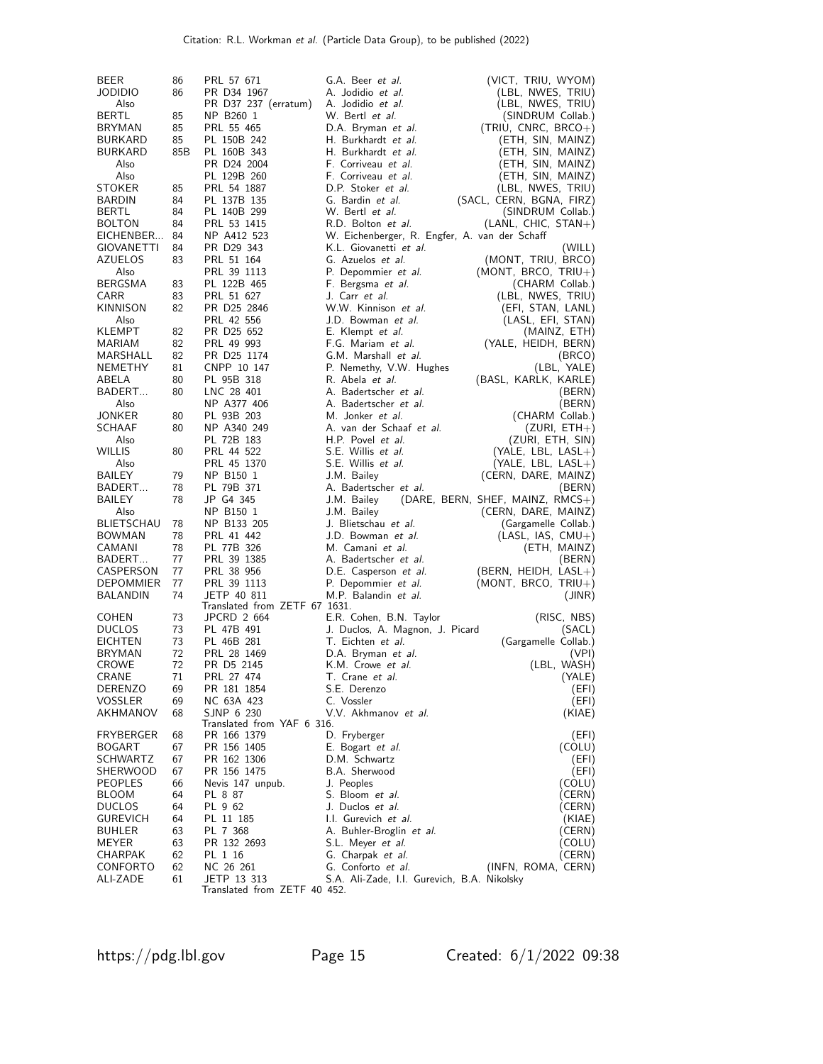| <b>BEER</b>                      | 86       | PRL 57 671                               | G.A. Beer et al.                                                    | (VICT, TRIU, WYOM)                         |
|----------------------------------|----------|------------------------------------------|---------------------------------------------------------------------|--------------------------------------------|
| <b>JODIDIO</b>                   | 86       | PR D34 1967                              | A. Jodidio et al.                                                   | (LBL, NWES, TRIU)                          |
| Also                             |          | PR D37 237 (erratum)                     | A. Jodidio et al.                                                   | (LBL, NWES, TRIU)                          |
| <b>BERTL</b><br><b>BRYMAN</b>    | 85<br>85 | NP B260 1<br>PRL 55 465                  | W. Bertl <i>et al.</i><br>D.A. Bryman et al.                        | (SINDRUM Collab.)<br>$(TRIU, CNRC, BRCO+)$ |
| <b>BURKARD</b>                   | 85       | PL 150B 242                              | H. Burkhardt et al.                                                 | (ETH, SIN, MAINZ)                          |
| <b>BURKARD</b>                   | 85B      | PL 160B 343                              | H. Burkhardt et al.                                                 | (ETH, SIN, MAINZ)                          |
| Also                             |          | PR D24 2004                              | F. Corriveau et al.                                                 | (ETH, SIN, MAINZ)                          |
| Also                             |          | PL 129B 260                              | F. Corriveau et al.                                                 | (ETH, SIN, MAINZ)                          |
| STOKER                           | 85       | PRL 54 1887                              | D.P. Stoker et al.                                                  | (LBL, NWES, TRIU)                          |
| <b>BARDIN</b>                    | 84       | PL 137B 135                              | G. Bardin et al.                                                    | (SACL, CERN, BGNA, FIRZ)                   |
| BERTL                            | 84       | PL 140B 299                              | W. Bertl et al.                                                     | (SINDRUM Collab.)                          |
| <b>BOLTON</b><br>EICHENBER       | 84<br>84 | PRL 53 1415<br>NP A412 523               | R.D. Bolton et al.<br>W. Eichenberger, R. Engfer, A. van der Schaff | (LANL, CHIC, STAN+)                        |
| GIOVANETTI                       | 84       | PR D29 343                               | K.L. Giovanetti et al.                                              | (WILL)                                     |
| <b>AZUELOS</b>                   | 83       | PRL 51 164                               | G. Azuelos et al.                                                   | (MONT, TRIU, BRCO)                         |
| Also                             |          | PRL 39 1113                              | P. Depommier et al.                                                 | (MONT, BRCO, $TRIU+$ )                     |
| <b>BERGSMA</b>                   | 83       | PL 122B 465                              | F. Bergsma et al.                                                   | (CHARM Collab.)                            |
| <b>CARR</b>                      | 83       | PRL 51 627                               | J. Carr et <i>al</i> .                                              | (LBL, NWES, TRIU)                          |
| KINNISON                         | 82       | PR D25 2846                              | W.W. Kinnison et al.                                                | (EFI, STAN, LANL)                          |
| Also                             |          | PRL 42 556                               | J.D. Bowman et al.                                                  | (LASL, EFI, STAN)                          |
| KLEMPT<br><b>MARIAM</b>          | 82<br>82 | PR D25 652<br>PRL 49 993                 | E. Klempt et al.<br>F.G. Mariam et al.                              | (MAINZ, ETH)<br>(YALE, HEIDH, BERN)        |
| MARSHALL                         | 82       | PR D25 1174                              | G.M. Marshall et al.                                                | (BRCO)                                     |
| <b>NEMETHY</b>                   | 81       | CNPP 10 147                              | P. Nemethy, V.W. Hughes                                             | (LBL, YALE)                                |
| ABELA                            | 80       | PL 95B 318                               | R. Abela et al.                                                     | (BASL, KARLK, KARLE)                       |
| BADERT                           | 80       | LNC 28 401                               | A. Badertscher et al.                                               | (BERN)                                     |
| Also                             |          | NP A377 406                              | A. Badertscher et al.                                               | (BERN)                                     |
| JONKER                           | 80       | PL 93B 203                               | M. Jonker et al.                                                    | (CHARM Collab.)                            |
| <b>SCHAAF</b>                    | 80       | NP A340 249                              | A. van der Schaaf et al.<br>H.P. Povel et al.                       | (ZURI, ETH+)                               |
| Also<br><b>WILLIS</b>            | 80       | PL 72B 183<br>PRL 44 522                 | S.E. Willis et al.                                                  | (ZURI, ETH, SIN)<br>(YALE, LBL, LASL+)     |
| Also                             |          | PRL 45 1370                              | S.E. Willis et al.                                                  | (YALE, LBL, LASL+)                         |
| BAILEY                           | 79       | NP B150 1                                | J.M. Bailey                                                         | (CERN, DARE, MAINZ)                        |
| BADERT                           | 78       | PL 79B 371                               | A. Badertscher et al.                                               | (BERN)                                     |
| <b>BAILEY</b>                    | 78       | JP G4 345                                | J.M. Bailey                                                         | (DARE, BERN, SHEF, MAINZ, $RMCS+$ )        |
| Also                             |          | NP B150 1                                | J.M. Bailey                                                         | (CERN, DARE, MAINZ)                        |
| <b>BLIETSCHAU</b>                | 78       | NP B133 205                              | J. Blietschau et al.                                                | (Gargamelle Collab.)                       |
| <b>BOWMAN</b><br>CAMANI          | 78<br>78 | PRL 41 442<br>PL 77B 326                 | J.D. Bowman et al.<br>M. Camani et al.                              | $(LASL, IAS, CMU+)$                        |
| BADERT                           | 77       | PRL 39 1385                              | A. Badertscher et al.                                               | (ETH, MAINZ)<br>(BERN)                     |
| CASPERSON                        | 77       | PRL 38 956                               | D.E. Casperson et al.                                               | (BERN, HEIDH, LASL+)                       |
| <b>DEPOMMIER</b>                 | 77       | PRL 39 1113                              | P. Depommier et al.                                                 | $(MONT, BRCO, TRIU+)$                      |
| <b>BALANDIN</b>                  | 74       | JETP 40 811                              | M.P. Balandin et al.                                                | (JINR)                                     |
|                                  |          | Translated from ZETF 67 1631.            |                                                                     |                                            |
| <b>COHEN</b><br><b>DUCLOS</b>    | 73<br>73 | JPCRD 2 664<br>PL 47B 491                | E.R. Cohen, B.N. Taylor                                             | (RISC, NBS)                                |
| <b>EICHTEN</b>                   | 73       | PL 46B 281                               | J. Duclos, A. Magnon, J. Picard<br>T. Eichten et al.                | (SACL)<br>(Gargamelle Collab.)             |
| <b>BRYMAN</b>                    | 72       | PRL 28 1469                              | D.A. Bryman et al.                                                  | (VPI)                                      |
| CROWE                            | 72       | PR D5 2145                               | K.M. Crowe et al.                                                   | (LBL, WASH)                                |
| CRANE                            | 71       | PRL 27 474                               | T. Crane <i>et al.</i>                                              | (YALE)                                     |
| <b>DERENZO</b>                   | 69       | PR 181 1854                              | S.E. Derenzo                                                        | (EFI)                                      |
| <b>VOSSLER</b>                   | 69       | NC 63A 423                               | C. Vossler                                                          | (EFI)                                      |
| AKHMANOV                         | 68       | SJNP 6 230<br>Translated from YAF 6 316. | V.V. Akhmanov et al.                                                | (KIAE)                                     |
| FRYBERGER                        | 68       | PR 166 1379                              | D. Fryberger                                                        | (EFI)                                      |
| <b>BOGART</b>                    | 67       | PR 156 1405                              | E. Bogart et al.                                                    | (COLU)                                     |
| <b>SCHWARTZ</b>                  | 67       | PR 162 1306                              | D.M. Schwartz                                                       | (EFI)                                      |
| SHERWOOD                         | 67       | PR 156 1475                              | B.A. Sherwood                                                       | (EFI)                                      |
| <b>PEOPLES</b>                   | 66       | Nevis 147 unpub.                         | J. Peoples                                                          | (COLU)                                     |
| <b>BLOOM</b>                     | 64       | PL 8 87                                  | S. Bloom et al.<br>J. Duclos et al.                                 | (CERN)                                     |
| <b>DUCLOS</b><br><b>GUREVICH</b> | 64<br>64 | PL 9 62<br>PL 11 185                     | I.I. Gurevich et al.                                                | (CERN)<br>(KIAE)                           |
| <b>BUHLER</b>                    | 63       | PL 7 368                                 | A. Buhler-Broglin et al.                                            | (CERN)                                     |
| MEYER                            | 63       | PR 132 2693                              | S.L. Meyer <i>et al.</i>                                            | (COLU)                                     |
| CHARPAK                          | 62       | PL 1 16                                  | G. Charpak et al.                                                   | (CERN)                                     |
| CONFORTO                         | 62       | NC 26 261                                | G. Conforto et al.                                                  | (INFN, ROMA, CERN)                         |
| ALI-ZADE                         | 61       | JETP 13 313                              | S.A. Ali-Zade, I.I. Gurevich, B.A. Nikolsky                         |                                            |
|                                  |          | Translated from ZETF 40 452.             |                                                                     |                                            |